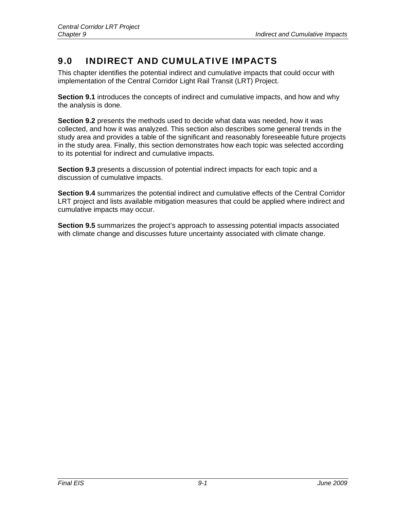# 9.0 INDIRECT AND CUMULATIVE IMPACTS

This chapter identifies the potential indirect and cumulative impacts that could occur with implementation of the Central Corridor Light Rail Transit (LRT) Project.

**Section 9.1** introduces the concepts of indirect and cumulative impacts, and how and why the analysis is done.

**Section 9.2** presents the methods used to decide what data was needed, how it was collected, and how it was analyzed. This section also describes some general trends in the study area and provides a table of the significant and reasonably foreseeable future projects in the study area. Finally, this section demonstrates how each topic was selected according to its potential for indirect and cumulative impacts.

**Section 9.3** presents a discussion of potential indirect impacts for each topic and a discussion of cumulative impacts.

**Section 9.4** summarizes the potential indirect and cumulative effects of the Central Corridor LRT project and lists available mitigation measures that could be applied where indirect and cumulative impacts may occur.

**Section 9.5** summarizes the project's approach to assessing potential impacts associated with climate change and discusses future uncertainty associated with climate change.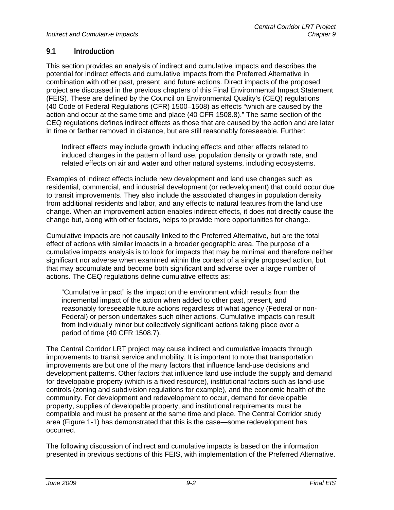# **9.1 Introduction**

This section provides an analysis of indirect and cumulative impacts and describes the potential for indirect effects and cumulative impacts from the Preferred Alternative in combination with other past, present, and future actions. Direct impacts of the proposed project are discussed in the previous chapters of this Final Environmental Impact Statement (FEIS). These are defined by the Council on Environmental Quality's (CEQ) regulations (40 Code of Federal Regulations (CFR) 1500–1508) as effects "which are caused by the action and occur at the same time and place (40 CFR 1508.8)." The same section of the CEQ regulations defines indirect effects as those that are caused by the action and are later in time or farther removed in distance, but are still reasonably foreseeable. Further:

Indirect effects may include growth inducing effects and other effects related to induced changes in the pattern of land use, population density or growth rate, and related effects on air and water and other natural systems, including ecosystems.

Examples of indirect effects include new development and land use changes such as residential, commercial, and industrial development (or redevelopment) that could occur due to transit improvements. They also include the associated changes in population density from additional residents and labor, and any effects to natural features from the land use change. When an improvement action enables indirect effects, it does not directly cause the change but, along with other factors, helps to provide more opportunities for change.

Cumulative impacts are not causally linked to the Preferred Alternative, but are the total effect of actions with similar impacts in a broader geographic area. The purpose of a cumulative impacts analysis is to look for impacts that may be minimal and therefore neither significant nor adverse when examined within the context of a single proposed action, but that may accumulate and become both significant and adverse over a large number of actions. The CEQ regulations define cumulative effects as:

"Cumulative impact" is the impact on the environment which results from the incremental impact of the action when added to other past, present, and reasonably foreseeable future actions regardless of what agency (Federal or non-Federal) or person undertakes such other actions. Cumulative impacts can result from individually minor but collectively significant actions taking place over a period of time (40 CFR 1508.7).

The Central Corridor LRT project may cause indirect and cumulative impacts through improvements to transit service and mobility. It is important to note that transportation improvements are but one of the many factors that influence land-use decisions and development patterns. Other factors that influence land use include the supply and demand for developable property (which is a fixed resource), institutional factors such as land-use controls (zoning and subdivision regulations for example), and the economic health of the community. For development and redevelopment to occur, demand for developable property, supplies of developable property, and institutional requirements must be compatible and must be present at the same time and place. The Central Corridor study area (Figure 1-1) has demonstrated that this is the case—some redevelopment has occurred.

The following discussion of indirect and cumulative impacts is based on the information presented in previous sections of this FEIS, with implementation of the Preferred Alternative.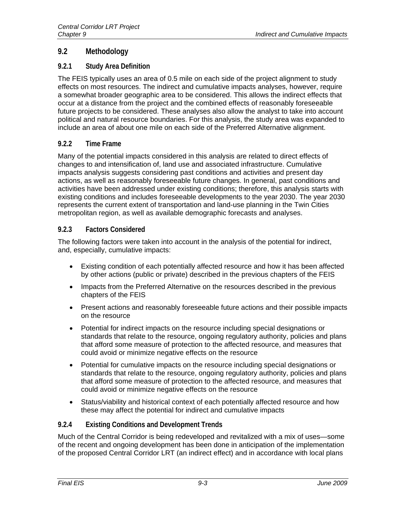# **9.2 Methodology**

## **9.2.1 Study Area Definition**

The FEIS typically uses an area of 0.5 mile on each side of the project alignment to study effects on most resources. The indirect and cumulative impacts analyses, however, require a somewhat broader geographic area to be considered. This allows the indirect effects that occur at a distance from the project and the combined effects of reasonably foreseeable future projects to be considered. These analyses also allow the analyst to take into account political and natural resource boundaries. For this analysis, the study area was expanded to include an area of about one mile on each side of the Preferred Alternative alignment.

#### **9.2.2 Time Frame**

Many of the potential impacts considered in this analysis are related to direct effects of changes to and intensification of, land use and associated infrastructure. Cumulative impacts analysis suggests considering past conditions and activities and present day actions, as well as reasonably foreseeable future changes. In general, past conditions and activities have been addressed under existing conditions; therefore, this analysis starts with existing conditions and includes foreseeable developments to the year 2030. The year 2030 represents the current extent of transportation and land-use planning in the Twin Cities metropolitan region, as well as available demographic forecasts and analyses.

#### **9.2.3 Factors Considered**

The following factors were taken into account in the analysis of the potential for indirect, and, especially, cumulative impacts:

- Existing condition of each potentially affected resource and how it has been affected by other actions (public or private) described in the previous chapters of the FEIS
- Impacts from the Preferred Alternative on the resources described in the previous chapters of the FEIS
- Present actions and reasonably foreseeable future actions and their possible impacts on the resource
- Potential for indirect impacts on the resource including special designations or standards that relate to the resource, ongoing regulatory authority, policies and plans that afford some measure of protection to the affected resource, and measures that could avoid or minimize negative effects on the resource
- Potential for cumulative impacts on the resource including special designations or standards that relate to the resource, ongoing regulatory authority, policies and plans that afford some measure of protection to the affected resource, and measures that could avoid or minimize negative effects on the resource
- Status/viability and historical context of each potentially affected resource and how these may affect the potential for indirect and cumulative impacts

#### **9.2.4 Existing Conditions and Development Trends**

Much of the Central Corridor is being redeveloped and revitalized with a mix of uses—some of the recent and ongoing development has been done in anticipation of the implementation of the proposed Central Corridor LRT (an indirect effect) and in accordance with local plans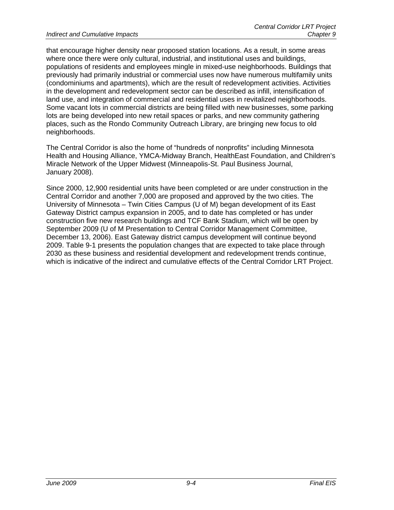that encourage higher density near proposed station locations. As a result, in some areas where once there were only cultural, industrial, and institutional uses and buildings, populations of residents and employees mingle in mixed-use neighborhoods. Buildings that previously had primarily industrial or commercial uses now have numerous multifamily units (condominiums and apartments), which are the result of redevelopment activities. Activities in the development and redevelopment sector can be described as infill, intensification of land use, and integration of commercial and residential uses in revitalized neighborhoods. Some vacant lots in commercial districts are being filled with new businesses, some parking lots are being developed into new retail spaces or parks, and new community gathering places, such as the Rondo Community Outreach Library, are bringing new focus to old neighborhoods.

The Central Corridor is also the home of "hundreds of nonprofits" including Minnesota Health and Housing Alliance, YMCA-Midway Branch, HealthEast Foundation, and Children's Miracle Network of the Upper Midwest (Minneapolis-St. Paul Business Journal, January 2008).

Since 2000, 12,900 residential units have been completed or are under construction in the Central Corridor and another 7,000 are proposed and approved by the two cities. The University of Minnesota – Twin Cities Campus (U of M) began development of its East Gateway District campus expansion in 2005, and to date has completed or has under construction five new research buildings and TCF Bank Stadium, which will be open by September 2009 (U of M Presentation to Central Corridor Management Committee, December 13, 2006). East Gateway district campus development will continue beyond 2009. Table 9-1 presents the population changes that are expected to take place through 2030 as these business and residential development and redevelopment trends continue, which is indicative of the indirect and cumulative effects of the Central Corridor LRT Project.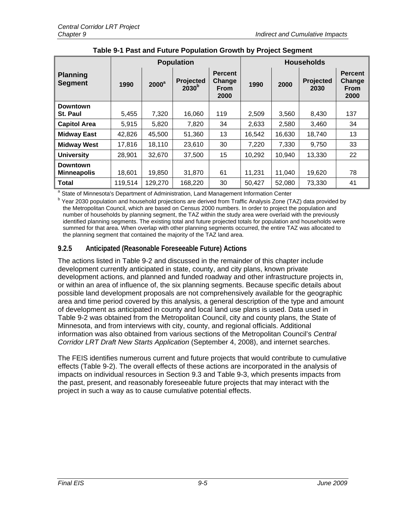|                                       | <b>Population</b> |          |                                |                                                 | <b>Households</b> |        |                   |                                                 |
|---------------------------------------|-------------------|----------|--------------------------------|-------------------------------------------------|-------------------|--------|-------------------|-------------------------------------------------|
| <b>Planning</b><br><b>Segment</b>     | 1990              | $2000^a$ | Projected<br>2030 <sup>b</sup> | <b>Percent</b><br>Change<br><b>From</b><br>2000 | 1990              | 2000   | Projected<br>2030 | <b>Percent</b><br>Change<br><b>From</b><br>2000 |
| <b>Downtown</b><br>St. Paul           | 5,455             | 7,320    | 16,060                         | 119                                             | 2,509             | 3,560  | 8,430             | 137                                             |
| <b>Capitol Area</b>                   | 5,915             | 5,820    | 7,820                          | 34                                              | 2,633             | 2,580  | 3,460             | 34                                              |
| <b>Midway East</b>                    | 42,826            | 45,500   | 51,360                         | 13                                              | 16,542            | 16,630 | 18,740            | 13                                              |
| <b>Midway West</b>                    | 17,816            | 18,110   | 23,610                         | 30                                              | 7,220             | 7,330  | 9,750             | 33                                              |
| <b>University</b>                     | 28,901            | 32,670   | 37,500                         | 15                                              | 10,292            | 10,940 | 13,330            | 22                                              |
| <b>Downtown</b><br><b>Minneapolis</b> | 18,601            | 19,850   | 31,870                         | 61                                              | 11,231            | 11,040 | 19,620            | 78                                              |
| <b>Total</b>                          | 119,514           | 129,270  | 168,220                        | 30                                              | 50,427            | 52,080 | 73,330            | 41                                              |

#### **Table 9-1 Past and Future Population Growth by Project Segment**

<sup>a</sup> State of Minnesota's Department of Administration, Land Management Information Center<br><sup>b</sup> Year 2020 napulation and bausebeld prejections are derived from Treffic Anglysis Zene (T

<sup>b</sup> Year 2030 population and household projections are derived from Traffic Analysis Zone (TAZ) data provided by the Metropolitan Council, which are based on Census 2000 numbers. In order to project the population and number of households by planning segment, the TAZ within the study area were overlaid with the previously identified planning segments. The existing total and future projected totals for population and households were summed for that area. When overlap with other planning segments occurred, the entire TAZ was allocated to the planning segment that contained the majority of the TAZ land area.

## **9.2.5 Anticipated (Reasonable Foreseeable Future) Actions**

The actions listed in Table 9-2 and discussed in the remainder of this chapter include development currently anticipated in state, county, and city plans, known private development actions, and planned and funded roadway and other infrastructure projects in, or within an area of influence of, the six planning segments. Because specific details about possible land development proposals are not comprehensively available for the geographic area and time period covered by this analysis, a general description of the type and amount of development as anticipated in county and local land use plans is used. Data used in Table 9-2 was obtained from the Metropolitan Council, city and county plans, the State of Minnesota, and from interviews with city, county, and regional officials. Additional information was also obtained from various sections of the Metropolitan Council's *Central Corridor LRT Draft New Starts Application* (September 4, 2008), and internet searches.

The FEIS identifies numerous current and future projects that would contribute to cumulative effects (Table 9-2). The overall effects of these actions are incorporated in the analysis of impacts on individual resources in Section 9.3 and Table 9-3, which presents impacts from the past, present, and reasonably foreseeable future projects that may interact with the project in such a way as to cause cumulative potential effects.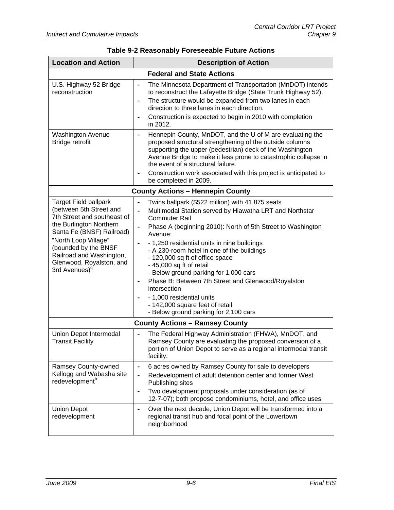| <b>Location and Action</b>                                                                                                                                                                                                                                                          | <b>Description of Action</b>                                                                                                                                                                                                                                                                                                                                                                                                                                                                                                                                                                                                                                            |  |  |  |  |  |  |
|-------------------------------------------------------------------------------------------------------------------------------------------------------------------------------------------------------------------------------------------------------------------------------------|-------------------------------------------------------------------------------------------------------------------------------------------------------------------------------------------------------------------------------------------------------------------------------------------------------------------------------------------------------------------------------------------------------------------------------------------------------------------------------------------------------------------------------------------------------------------------------------------------------------------------------------------------------------------------|--|--|--|--|--|--|
| <b>Federal and State Actions</b>                                                                                                                                                                                                                                                    |                                                                                                                                                                                                                                                                                                                                                                                                                                                                                                                                                                                                                                                                         |  |  |  |  |  |  |
| U.S. Highway 52 Bridge<br>reconstruction                                                                                                                                                                                                                                            | The Minnesota Department of Transportation (MnDOT) intends<br>to reconstruct the Lafayette Bridge (State Trunk Highway 52).<br>The structure would be expanded from two lanes in each<br>direction to three lanes in each direction.<br>Construction is expected to begin in 2010 with completion<br>in 2012.                                                                                                                                                                                                                                                                                                                                                           |  |  |  |  |  |  |
| <b>Washington Avenue</b><br>Bridge retrofit                                                                                                                                                                                                                                         | Hennepin County, MnDOT, and the U of M are evaluating the<br>proposed structural strengthening of the outside columns<br>supporting the upper (pedestrian) deck of the Washington<br>Avenue Bridge to make it less prone to catastrophic collapse in<br>the event of a structural failure.<br>Construction work associated with this project is anticipated to<br>be completed in 2009.                                                                                                                                                                                                                                                                                 |  |  |  |  |  |  |
|                                                                                                                                                                                                                                                                                     | <b>County Actions - Hennepin County</b>                                                                                                                                                                                                                                                                                                                                                                                                                                                                                                                                                                                                                                 |  |  |  |  |  |  |
| <b>Target Field ballpark</b><br>(between 5th Street and<br>7th Street and southeast of<br>the Burlington Northern<br>Santa Fe (BNSF) Railroad)<br>"North Loop Village"<br>(bounded by the BNSF<br>Railroad and Washington,<br>Glenwood, Royalston, and<br>3rd Avenues) <sup>q</sup> | Twins ballpark (\$522 million) with 41,875 seats<br>$\qquad \qquad -$<br>Multimodal Station served by Hiawatha LRT and Northstar<br>$\qquad \qquad -$<br><b>Commuter Rail</b><br>Phase A (beginning 2010): North of 5th Street to Washington<br>$\overline{\phantom{0}}$<br>Avenue:<br>- 1,250 residential units in nine buildings<br>- A 230-room hotel in one of the buildings<br>- 120,000 sq ft of office space<br>- 45,000 sq ft of retail<br>- Below ground parking for 1,000 cars<br>Phase B: Between 7th Street and Glenwood/Royalston<br>intersection<br>- 1,000 residential units<br>- 142,000 square feet of retail<br>- Below ground parking for 2,100 cars |  |  |  |  |  |  |
|                                                                                                                                                                                                                                                                                     | <b>County Actions - Ramsey County</b>                                                                                                                                                                                                                                                                                                                                                                                                                                                                                                                                                                                                                                   |  |  |  |  |  |  |
| Union Depot Intermodal<br><b>Transit Facility</b>                                                                                                                                                                                                                                   | The Federal Highway Administration (FHWA), MnDOT, and<br>$\qquad \qquad -$<br>Ramsey County are evaluating the proposed conversion of a<br>portion of Union Depot to serve as a regional intermodal transit<br>facility.                                                                                                                                                                                                                                                                                                                                                                                                                                                |  |  |  |  |  |  |
| Ramsey County-owned<br>Kellogg and Wabasha site<br>redevelopment <sup>b</sup>                                                                                                                                                                                                       | 6 acres owned by Ramsey County for sale to developers<br>Redevelopment of adult detention center and former West<br>Publishing sites<br>Two development proposals under consideration (as of<br>$\qquad \qquad$<br>12-7-07); both propose condominiums, hotel, and office uses                                                                                                                                                                                                                                                                                                                                                                                          |  |  |  |  |  |  |
| <b>Union Depot</b><br>redevelopment                                                                                                                                                                                                                                                 | Over the next decade, Union Depot will be transformed into a<br>regional transit hub and focal point of the Lowertown<br>neighborhood                                                                                                                                                                                                                                                                                                                                                                                                                                                                                                                                   |  |  |  |  |  |  |

# **Table 9-2 Reasonably Foreseeable Future Actions**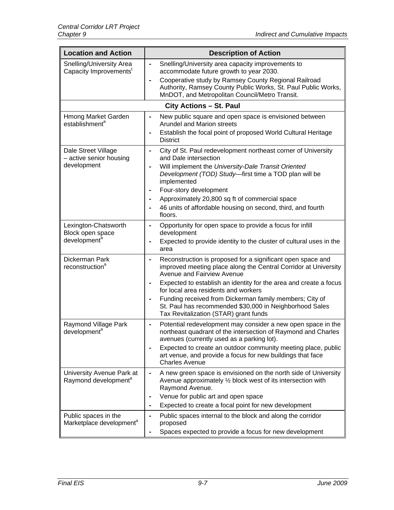| <b>Location and Action</b>                                     | <b>Description of Action</b>                                                                                                                                                |
|----------------------------------------------------------------|-----------------------------------------------------------------------------------------------------------------------------------------------------------------------------|
| Snelling/University Area<br>Capacity Improvements <sup>t</sup> | Snelling/University area capacity improvements to<br>-<br>accommodate future growth to year 2030.                                                                           |
|                                                                | Cooperative study by Ramsey County Regional Railroad<br>Authority, Ramsey County Public Works, St. Paul Public Works,<br>MnDOT, and Metropolitan Council/Metro Transit.     |
|                                                                | City Actions - St. Paul                                                                                                                                                     |
| Hmong Market Garden<br>establishment <sup>a</sup>              | New public square and open space is envisioned between<br>-<br>Arundel and Marion streets<br>Establish the focal point of proposed World Cultural Heritage<br>-             |
|                                                                | <b>District</b>                                                                                                                                                             |
| Dale Street Village<br>- active senior housing                 | City of St. Paul redevelopment northeast corner of University<br>$\qquad \qquad -$<br>and Dale intersection                                                                 |
| development                                                    | Will implement the University-Dale Transit Oriented<br>-<br>Development (TOD) Study-first time a TOD plan will be<br>implemented                                            |
|                                                                | Four-story development<br>-                                                                                                                                                 |
|                                                                | Approximately 20,800 sq ft of commercial space<br>-<br>46 units of affordable housing on second, third, and fourth                                                          |
|                                                                | floors.                                                                                                                                                                     |
| Lexington-Chatsworth<br>Block open space                       | Opportunity for open space to provide a focus for infill<br>development                                                                                                     |
| development <sup>a</sup>                                       | Expected to provide identity to the cluster of cultural uses in the<br>area                                                                                                 |
| Dickerman Park<br>reconstruction <sup>a</sup>                  | Reconstruction is proposed for a significant open space and<br>-<br>improved meeting place along the Central Corridor at University<br>Avenue and Fairview Avenue           |
|                                                                | Expected to establish an identity for the area and create a focus<br>-<br>for local area residents and workers                                                              |
|                                                                | Funding received from Dickerman family members; City of<br>-<br>St. Paul has recommended \$30,000 in Neighborhood Sales<br>Tax Revitalization (STAR) grant funds            |
| Raymond Village Park<br>development <sup>a</sup>               | Potential redevelopment may consider a new open space in the<br>northeast quadrant of the intersection of Raymond and Charles<br>avenues (currently used as a parking lot). |
|                                                                | Expected to create an outdoor community meeting place, public<br>-<br>art venue, and provide a focus for new buildings that face<br><b>Charles Avenue</b>                   |
| University Avenue Park at<br>Raymond development <sup>a</sup>  | A new green space is envisioned on the north side of University<br>Avenue approximately 1/2 block west of its intersection with<br>Raymond Avenue.                          |
|                                                                | Venue for public art and open space                                                                                                                                         |
|                                                                | Expected to create a focal point for new development                                                                                                                        |
| Public spaces in the<br>Marketplace development <sup>a</sup>   | Public spaces internal to the block and along the corridor<br>proposed                                                                                                      |
|                                                                | Spaces expected to provide a focus for new development                                                                                                                      |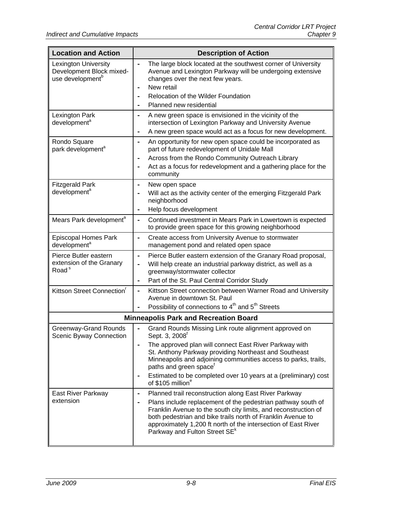| <b>Location and Action</b>                                                              | <b>Description of Action</b>                                                                                                                                                                                                                                                                                                                                                                                             |  |  |  |  |
|-----------------------------------------------------------------------------------------|--------------------------------------------------------------------------------------------------------------------------------------------------------------------------------------------------------------------------------------------------------------------------------------------------------------------------------------------------------------------------------------------------------------------------|--|--|--|--|
| <b>Lexington University</b><br>Development Block mixed-<br>use development <sup>b</sup> | The large block located at the southwest corner of University<br>-<br>Avenue and Lexington Parkway will be undergoing extensive<br>changes over the next few years.<br>New retail<br><b>Relocation of the Wilder Foundation</b>                                                                                                                                                                                          |  |  |  |  |
|                                                                                         | Planned new residential<br>-                                                                                                                                                                                                                                                                                                                                                                                             |  |  |  |  |
| Lexington Park<br>development <sup>a</sup>                                              | A new green space is envisioned in the vicinity of the<br>-<br>intersection of Lexington Parkway and University Avenue<br>A new green space would act as a focus for new development.<br>-                                                                                                                                                                                                                               |  |  |  |  |
| Rondo Square<br>park development <sup>a</sup>                                           | An opportunity for new open space could be incorporated as<br>-<br>part of future redevelopment of Unidale Mall<br>Across from the Rondo Community Outreach Library<br>-<br>Act as a focus for redevelopment and a gathering place for the<br>-<br>community                                                                                                                                                             |  |  |  |  |
| <b>Fitzgerald Park</b><br>development <sup>a</sup>                                      | New open space<br>-<br>Will act as the activity center of the emerging Fitzgerald Park<br>-<br>neighborhood<br>Help focus development<br>$\qquad \qquad -$                                                                                                                                                                                                                                                               |  |  |  |  |
| Mears Park development <sup>a</sup>                                                     | Continued investment in Mears Park in Lowertown is expected<br>-<br>to provide green space for this growing neighborhood                                                                                                                                                                                                                                                                                                 |  |  |  |  |
| <b>Episcopal Homes Park</b><br>development <sup>a</sup>                                 | Create access from University Avenue to stormwater<br>-<br>management pond and related open space                                                                                                                                                                                                                                                                                                                        |  |  |  |  |
| Pierce Butler eastern<br>extension of the Granary<br>Road <sup>s</sup>                  | Pierce Butler eastern extension of the Granary Road proposal,<br>$\qquad \qquad -$<br>Will help create an industrial parkway district, as well as a<br>-<br>greenway/stormwater collector<br>Part of the St. Paul Central Corridor Study<br>-                                                                                                                                                                            |  |  |  |  |
| Kittson Street Connection                                                               | Kittson Street connection between Warner Road and University<br>-<br>Avenue in downtown St. Paul<br>Possibility of connections to 4 <sup>th</sup> and 5 <sup>th</sup> Streets                                                                                                                                                                                                                                            |  |  |  |  |
|                                                                                         | <b>Minneapolis Park and Recreation Board</b>                                                                                                                                                                                                                                                                                                                                                                             |  |  |  |  |
| Greenway-Grand Rounds<br>Scenic Byway Connection                                        | Grand Rounds Missing Link route alignment approved on<br>-<br>Sept. 3, 2008 <sup>f</sup><br>The approved plan will connect East River Parkway with<br>-<br>St. Anthony Parkway providing Northeast and Southeast<br>Minneapolis and adjoining communities access to parks, trails,<br>paths and green space <sup>r</sup><br>Estimated to be completed over 10 years at a (preliminary) cost<br>-<br>of \$105 million $e$ |  |  |  |  |
| East River Parkway<br>extension                                                         | Planned trail reconstruction along East River Parkway<br>$\qquad \qquad$<br>Plans include replacement of the pedestrian pathway south of<br>-<br>Franklin Avenue to the south city limits, and reconstruction of<br>both pedestrian and bike trails north of Franklin Avenue to<br>approximately 1,200 ft north of the intersection of East River<br>Parkway and Fulton Street SE <sup>K</sup>                           |  |  |  |  |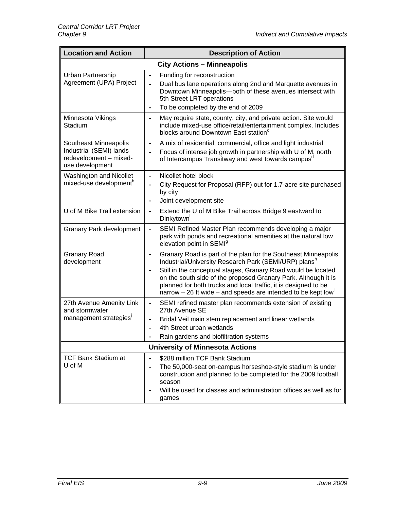| <b>Location and Action</b>                                                                    | <b>Description of Action</b>                                                                                                                                                                                                                                                                                                                                                                                                                      |  |  |  |  |  |
|-----------------------------------------------------------------------------------------------|---------------------------------------------------------------------------------------------------------------------------------------------------------------------------------------------------------------------------------------------------------------------------------------------------------------------------------------------------------------------------------------------------------------------------------------------------|--|--|--|--|--|
| <b>City Actions - Minneapolis</b>                                                             |                                                                                                                                                                                                                                                                                                                                                                                                                                                   |  |  |  |  |  |
| Urban Partnership<br>Agreement (UPA) Project                                                  | Funding for reconstruction<br>$\qquad \qquad$<br>Dual bus lane operations along 2nd and Marquette avenues in<br>$\overline{\phantom{0}}$<br>Downtown Minneapolis-both of these avenues intersect with<br>5th Street LRT operations<br>To be completed by the end of 2009<br>-                                                                                                                                                                     |  |  |  |  |  |
| Minnesota Vikings<br>Stadium                                                                  | May require state, county, city, and private action. Site would<br>-<br>include mixed-use office/retail/entertainment complex. Includes<br>blocks around Downtown East station <sup>c</sup>                                                                                                                                                                                                                                                       |  |  |  |  |  |
| Southeast Minneapolis<br>Industrial (SEMI) lands<br>redevelopment - mixed-<br>use development | A mix of residential, commercial, office and light industrial<br>$\qquad \qquad -$<br>Focus of intense job growth in partnership with U of M, north<br>-<br>of Intercampus Transitway and west towards campus <sup>d</sup>                                                                                                                                                                                                                        |  |  |  |  |  |
| Washington and Nicollet<br>mixed-use development <sup>b</sup>                                 | Nicollet hotel block<br>-<br>City Request for Proposal (RFP) out for 1.7-acre site purchased<br>-<br>by city<br>Joint development site<br>$\overline{a}$                                                                                                                                                                                                                                                                                          |  |  |  |  |  |
| U of M Bike Trail extension                                                                   | Extend the U of M Bike Trail across Bridge 9 eastward to<br>$\qquad \qquad -$<br>Dinkytown                                                                                                                                                                                                                                                                                                                                                        |  |  |  |  |  |
| <b>Granary Park development</b>                                                               | SEMI Refined Master Plan recommends developing a major<br>$\qquad \qquad -$<br>park with ponds and recreational amenities at the natural low<br>elevation point in SEMI <sup>9</sup>                                                                                                                                                                                                                                                              |  |  |  |  |  |
| <b>Granary Road</b><br>development                                                            | Granary Road is part of the plan for the Southeast Minneapolis<br>-<br>Industrial/University Research Park (SEMI/URP) plans <sup>h</sup><br>Still in the conceptual stages, Granary Road would be located<br>$\qquad \qquad$<br>on the south side of the proposed Granary Park. Although it is<br>planned for both trucks and local traffic, it is designed to be<br>narrow $-26$ ft wide $-$ and speeds are intended to be kept low <sup>1</sup> |  |  |  |  |  |
| 27th Avenue Amenity Link<br>and stormwater<br>management strategies                           | SEMI refined master plan recommends extension of existing<br>-<br>27th Avenue SE<br>Bridal Veil main stem replacement and linear wetlands<br>4th Street urban wetlands<br>Rain gardens and biofiltration systems<br>-                                                                                                                                                                                                                             |  |  |  |  |  |
|                                                                                               | <b>University of Minnesota Actions</b>                                                                                                                                                                                                                                                                                                                                                                                                            |  |  |  |  |  |
| <b>TCF Bank Stadium at</b><br>U of M                                                          | \$288 million TCF Bank Stadium<br>The 50,000-seat on-campus horseshoe-style stadium is under<br>-<br>construction and planned to be completed for the 2009 football<br>season<br>Will be used for classes and administration offices as well as for<br>games                                                                                                                                                                                      |  |  |  |  |  |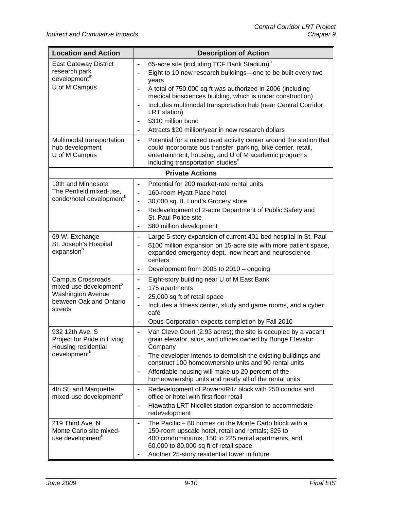| <b>Location and Action</b>                                                                                                       | <b>Description of Action</b>                                                                                                                                                                                                                                                                                                                                                                                                                                                                                                                                                                                    |  |  |  |  |
|----------------------------------------------------------------------------------------------------------------------------------|-----------------------------------------------------------------------------------------------------------------------------------------------------------------------------------------------------------------------------------------------------------------------------------------------------------------------------------------------------------------------------------------------------------------------------------------------------------------------------------------------------------------------------------------------------------------------------------------------------------------|--|--|--|--|
| <b>East Gateway District</b><br>research park<br>development <sup>m</sup><br>U of M Campus<br>Multimodal transportation          | 65-acre site (including TCF Bank Stadium) <sup>n</sup><br>$\qquad \qquad$<br>Eight to 10 new research buildings-one to be built every two<br>years<br>A total of 750,000 sq ft was authorized in 2006 (including<br>medical biosciences building, which is under construction)<br>Includes multimodal transportation hub (near Central Corridor<br>$\qquad \qquad$<br>LRT station)<br>\$310 million bond<br>$\overline{\phantom{0}}$<br>Attracts \$20 million/year in new research dollars<br>$\qquad \qquad$<br>Potential for a mixed used activity center around the station that<br>$\overline{\phantom{a}}$ |  |  |  |  |
| hub development<br>U of M Campus                                                                                                 | could incorporate bus transfer, parking, bike center, retail,<br>entertainment, housing, and U of M academic programs<br>including transportation studies <sup>o</sup>                                                                                                                                                                                                                                                                                                                                                                                                                                          |  |  |  |  |
|                                                                                                                                  | <b>Private Actions</b>                                                                                                                                                                                                                                                                                                                                                                                                                                                                                                                                                                                          |  |  |  |  |
| 10th and Minnesota<br>The Penfield mixed-use,<br>condo/hotel development <sup>b</sup>                                            | Potential for 200 market-rate rental units<br>160-room Hyatt Place hotel<br>$\overline{\phantom{0}}$<br>30,000 sq. ft. Lund's Grocery store<br>$\qquad \qquad -$<br>Redevelopment of 2-acre Department of Public Safety and<br>$\qquad \qquad$<br>St. Paul Police site<br>\$80 million development<br>$\qquad \qquad -$                                                                                                                                                                                                                                                                                         |  |  |  |  |
| 69 W. Exchange<br>St. Joseph's Hospital<br>expansion <sup>b</sup>                                                                | Large 5-story expansion of current 401-bed hospital in St. Paul<br>$\overline{\phantom{a}}$<br>\$100 million expansion on 15-acre site with more patient space,<br>$\overline{\phantom{0}}$<br>expanded emergency dept., new heart and neuroscience<br>centers<br>Development from 2005 to 2010 - ongoing<br>$\overline{a}$                                                                                                                                                                                                                                                                                     |  |  |  |  |
| <b>Campus Crossroads</b><br>mixed-use development <sup>p</sup><br><b>Washington Avenue</b><br>between Oak and Ontario<br>streets | Eight-story building near U of M East Bank<br>$\overline{\phantom{a}}$<br>175 apartments<br>$\qquad \qquad -$<br>25,000 sq ft of retail space<br>$\overline{\phantom{0}}$<br>Includes a fitness center, study and game rooms, and a cyber<br>café<br>Opus Corporation expects completion by Fall 2010                                                                                                                                                                                                                                                                                                           |  |  |  |  |
| 932 12th Ave. S<br>Project for Pride in Living<br>Housing residential<br>development <sup>b</sup>                                | Van Cleve Court (2.93 acres); the site is occupied by a vacant<br>grain elevator, silos, and offices owned by Bunge Elevator<br>Company<br>The developer intends to demolish the existing buildings and<br>$\overline{a}$<br>construct 100 homeownership units and 90 rental units<br>Affordable housing will make up 20 percent of the<br>$\qquad \qquad$<br>homeownership units and nearly all of the rental units                                                                                                                                                                                            |  |  |  |  |
| 4th St. and Marquette<br>mixed-use development <sup>o</sup>                                                                      | Redevelopment of Powers/Ritz block with 250 condos and<br>$\qquad \qquad$<br>office or hotel with first floor retail<br>Hiawatha LRT Nicollet station expansion to accommodate<br>$\overline{a}$<br>redevelopment                                                                                                                                                                                                                                                                                                                                                                                               |  |  |  |  |
| 219 Third Ave. N<br>Monte Carlo site mixed-<br>use development <sup>b</sup>                                                      | The Pacific - 80 homes on the Monte Carlo block with a<br>$\qquad \qquad -$<br>150-room upscale hotel, retail and rentals; 325 to<br>400 condominiums, 150 to 225 rental apartments, and<br>60,000 to 80,000 sq ft of retail space<br>Another 25-story residential tower in future<br>$\qquad \qquad$                                                                                                                                                                                                                                                                                                           |  |  |  |  |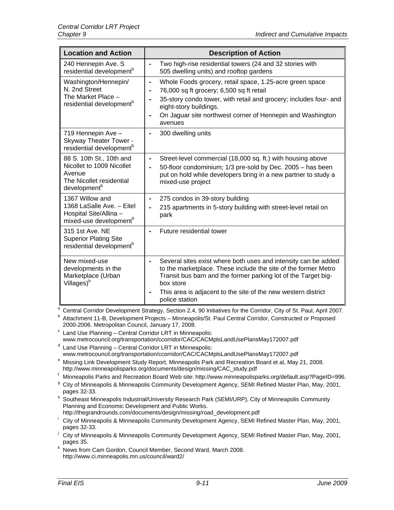| <b>Location and Action</b>                                                                                              | <b>Description of Action</b>                                                                                                                                                                                                                                                                                                                                                        |
|-------------------------------------------------------------------------------------------------------------------------|-------------------------------------------------------------------------------------------------------------------------------------------------------------------------------------------------------------------------------------------------------------------------------------------------------------------------------------------------------------------------------------|
| 240 Hennepin Ave. S<br>residential development <sup>b</sup>                                                             | Two high-rise residential towers (24 and 32 stories with<br>$\qquad \qquad -$<br>505 dwelling units) and rooftop gardens                                                                                                                                                                                                                                                            |
| Washington/Hennepin/<br>N. 2nd Street<br>The Market Place -<br>residential development <sup>b</sup>                     | Whole Foods grocery, retail space, 1.25-acre green space<br>$\qquad \qquad$<br>76,000 sq ft grocery; 6,500 sq ft retail<br>$\overline{\phantom{0}}$<br>35-story condo tower, with retail and grocery; includes four- and<br>$\overline{\phantom{0}}$<br>eight-story buildings.<br>On Jaguar site northwest corner of Hennepin and Washington<br>$\overline{\phantom{0}}$<br>avenues |
| 719 Hennepin Ave -<br><b>Skyway Theater Tower -</b><br>residential development <sup>b</sup>                             | 300 dwelling units<br>$\overline{\phantom{a}}$                                                                                                                                                                                                                                                                                                                                      |
| 88 S. 10th St., 10th and<br>Nicollet to 1009 Nicollet<br>Avenue<br>The Nicollet residential<br>development <sup>b</sup> | Street-level commercial (18,000 sq. ft.) with housing above<br>$\qquad \qquad -$<br>50-floor condominium; 1/3 pre-sold by Dec. 2005 - has been<br>$\overline{\phantom{0}}$<br>put on hold while developers bring in a new partner to study a<br>mixed-use project                                                                                                                   |
| 1367 Willow and<br>1368 LaSalle Ave. - Eitel<br>Hospital Site/Allina -<br>mixed-use development <sup>b</sup>            | 275 condos in 39-story building<br>$\overline{\phantom{a}}$<br>215 apartments in 5-story building with street-level retail on<br>park                                                                                                                                                                                                                                               |
| 315 1st Ave. NE<br><b>Superior Plating Site</b><br>residential development <sup>b</sup>                                 | Future residential tower                                                                                                                                                                                                                                                                                                                                                            |
| New mixed-use<br>developments in the<br>Marketplace (Urban<br>Villages $)$ <sup>b</sup>                                 | Several sites exist where both uses and intensity can be added<br>$\overline{\phantom{a}}$<br>to the marketplace. These include the site of the former Metro<br>Transit bus barn and the former parking lot of the Target big-<br>box store<br>This area is adjacent to the site of the new western district<br>police station                                                      |

a Central Corridor Development Strategy, Section 2.4, 90 Initiatives for the Corridor, City of St. Paul, April 2007.<br>b Attochment 11 B. Development Prejecte Minnespelie/St. Devi Central Cerridor, Cenetrusted as Prepeaded.

**b** Attachment 11-B, Development Projects – Minneapolis/St. Paul Central Corridor, Constructed or Proposed 2000-2006. Metropolitan Council, January 17, 2008.

 $\textdegree$  Land Use Planning – Central Corridor LRT in Minneapolis:

www.metrocouncil.org/transportation/ccorridor/CAC/CACMplsLandUsePlansMay172007.pdf d<br>Land Use Planning – Central Corridor LRT in Minneapolis:

- www.metrocouncil.org/transportation/ccorridor/CAC/CACMplsLandUsePlansMay172007.pdf <sup>e</sup> Missing Link Development Study Report, Minneapolis Park and Recreation Board et al, May 21, 2008.
- http://www.minneapolisparks.org/documents/design/missing/CAC\_study.pdf<br><sup>f</sup> Minneapolis Parks and Pecreation Board Web site: http://www.minneapolisp

Minneapolis Parks and Recreation Board Web site: http://www.minneapolisparks.org/default.asp?PageID=996.

- <sup>g</sup> City of Minneapolis & Minneapolis Community Development Agency, SEMI Refined Master Plan, May, 2001, pages 32-33.
- <sup>h</sup> Southeast Minneapolis Industrial/University Research Park (SEMI/URP), City of Minneapolis Community Planning and Economic Development and Public Works.

http://thegrandrounds.com/documents/design/missing/road\_development.pdf<br>
City of Minnesonalia & Minnesonalia Community Development Agency, CEMLD

 City of Minneapolis & Minneapolis Community Development Agency, SEMI Refined Master Plan, May, 2001, pages 32-33.

k News from Cam Gordon, Council Member, Second Ward, March 2008. http://www.ci.minneapolis.mn.us/council/ward2/

j City of Minneapolis & Minneapolis Community Development Agency, SEMI Refined Master Plan, May, 2001, pages 35.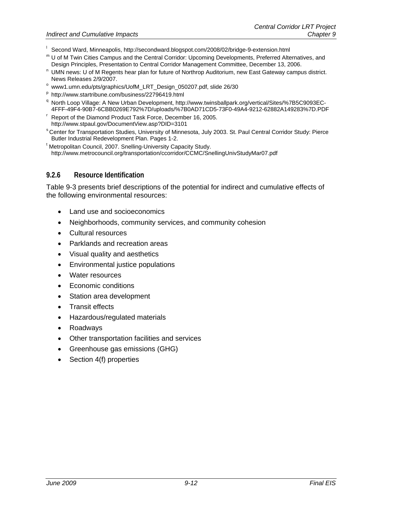- 
- <sup>1</sup> Second Ward, Minneapolis, http://secondward.blogspot.com/2008/02/bridge-9-extension.html<br><sup>m</sup> U of M Twin Cities Campus and the Central Corridor: Upcoming Developments, Preferred Alternatives, and Design Principles, Presentation to Central Corridor Management Committee, December 13, 2006.
- n UMN news: U of M Regents hear plan for future of Northrop Auditorium, new East Gateway campus district. News Releases 2/9/2007.
- ° www1.umn.edu/pts/graphics/UofM\_LRT\_Design\_050207.pdf, slide 26/30<br><sup>P</sup>http://www.startribune.com/business/22796419.html
- 
- <sup>q</sup> North Loop Village: A New Urban Development, http://www.twinsballpark.org/vertical/Sites/%7B5C9093EC-4FFF-49F4-90B7-6CBB0269E792%7D/uploads/%7B0AD71CD5-73F0-49A4-9212-62882A149283%7D.PDF
- r Report of the Diamond Product Task Force, December 16, 2005. http://www.stpaul.gov/DocumentView.asp?DID=3101
- <sup>s</sup> Center for Transportation Studies, University of Minnesota, July 2003. St. Paul Central Corridor Study: Pierce Butler Industrial Redevelopment Plan. Pages 1-2.
- <sup>t</sup> Metropolitan Council, 2007. Snelling-University Capacity Study. http://www.metrocouncil.org/transportation/ccorridor/CCMC/SnellingUnivStudyMar07.pdf

# **9.2.6 Resource Identification**

Table 9-3 presents brief descriptions of the potential for indirect and cumulative effects of the following environmental resources:

- Land use and socioeconomics
- Neighborhoods, community services, and community cohesion
- Cultural resources
- Parklands and recreation areas
- Visual quality and aesthetics
- Environmental justice populations
- Water resources
- Economic conditions
- Station area development
- Transit effects
- Hazardous/regulated materials
- Roadways
- Other transportation facilities and services
- Greenhouse gas emissions (GHG)
- Section 4(f) properties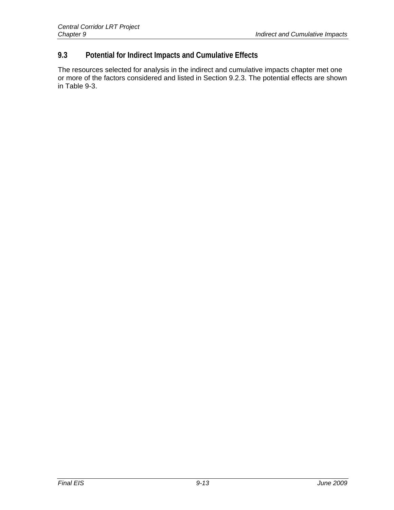# **9.3 Potential for Indirect Impacts and Cumulative Effects**

The resources selected for analysis in the indirect and cumulative impacts chapter met one or more of the factors considered and listed in Section 9.2.3. The potential effects are shown in Table 9-3.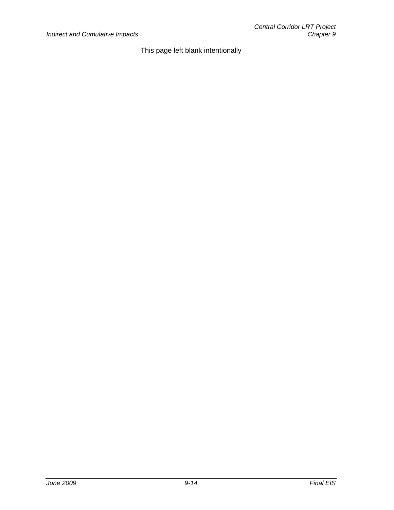# This page left blank intentionally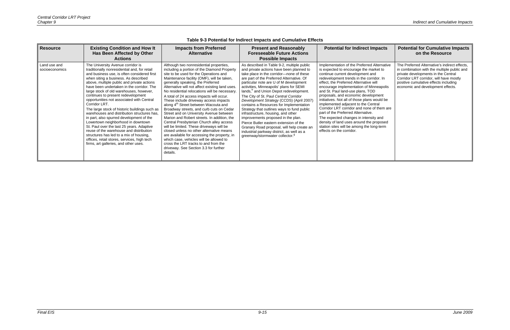# **Table 9-3 Potential for Indirect Impacts and Cumulative Effects**

| <b>Resource</b>                | <b>Existing Condition and How It</b><br>Has Been Affected by Other<br><b>Actions</b>                                                                                                                                                                                                                                                                                                                                                                                                                                                                                                                                                                                                                                                                                                                                            | <b>Impacts from Preferred</b><br><b>Alternative</b>                                                                                                                                                                                                                                                                                                                                                                                                                                                                                                                                                                                                                                                                                                                                                                                                                                                                                | <b>Present and Reasonably</b><br><b>Foreseeable Future Actions</b><br><b>Possible Impacts</b>                                                                                                                                                                                                                                                                                                                                                                                                                                                                                                                                                                                                                                                                            | <b>Potential for Indirect Impacts</b>                                                                                                                                                                                                                                                                                                                                                                                                                                                                                                                                                                                                                                          | <b>Potential for Cumulative Impacts</b><br>on the Resource                                                                                                                                                                                                   |
|--------------------------------|---------------------------------------------------------------------------------------------------------------------------------------------------------------------------------------------------------------------------------------------------------------------------------------------------------------------------------------------------------------------------------------------------------------------------------------------------------------------------------------------------------------------------------------------------------------------------------------------------------------------------------------------------------------------------------------------------------------------------------------------------------------------------------------------------------------------------------|------------------------------------------------------------------------------------------------------------------------------------------------------------------------------------------------------------------------------------------------------------------------------------------------------------------------------------------------------------------------------------------------------------------------------------------------------------------------------------------------------------------------------------------------------------------------------------------------------------------------------------------------------------------------------------------------------------------------------------------------------------------------------------------------------------------------------------------------------------------------------------------------------------------------------------|--------------------------------------------------------------------------------------------------------------------------------------------------------------------------------------------------------------------------------------------------------------------------------------------------------------------------------------------------------------------------------------------------------------------------------------------------------------------------------------------------------------------------------------------------------------------------------------------------------------------------------------------------------------------------------------------------------------------------------------------------------------------------|--------------------------------------------------------------------------------------------------------------------------------------------------------------------------------------------------------------------------------------------------------------------------------------------------------------------------------------------------------------------------------------------------------------------------------------------------------------------------------------------------------------------------------------------------------------------------------------------------------------------------------------------------------------------------------|--------------------------------------------------------------------------------------------------------------------------------------------------------------------------------------------------------------------------------------------------------------|
| Land use and<br>socioeconomics | The University Avenue corridor is<br>traditionally nonresidential and, for retail<br>and business use, is often considered first<br>when siting a business. As described<br>above, multiple public and private actions<br>have been undertaken in the corridor. The<br>large stock of old warehouses, however,<br>continues to present redevelopment<br>opportunities not associated with Central<br>Corridor LRT.<br>The large stock of historic buildings such as<br>warehouses and distribution structures has.<br>in part, also spurred development of the<br>Lowertown neighborhood in downtown<br>St. Paul over the last 25 years. Adaptive<br>reuse of the warehouse and distribution<br>structures has led to a mix of housing,<br>offices, retail stores, services, high tech<br>firms, art galleries, and other uses. | Although two nonresidential properties,<br>including a portion of the Diamond Property<br>site to be used for the Operations and<br>Maintenance facility (OMF), will be taken,<br>generally speaking, the Preferred<br>Alternative will not affect existing land uses.<br>No residential relocations will be necessary.<br>A total of 24 access impacts will occur.<br>These include driveway access impacts<br>along 4 <sup>th</sup> Street between Wacouta and<br>Broadway streets, and curb cuts on Cedar<br>Street and on University Avenue between<br>Marion and Robert streets. In addition, the<br>Central Presbyterian Church alley access<br>will be limited. These driveways will be<br>closed unless no other alternative means<br>are available for accessing the property, in<br>which case, vehicles will be allowed to<br>cross the LRT tracks to and from the<br>driveway. See Section 3.3 for further<br>details. | As described in Table 9-2, multiple public<br>and private actions have been planned to<br>take place in the corridor-none of these<br>are part of the Preferred Alternative. Of<br>particular note are U of M development<br>activities, Minneapolis' plans for SEMI<br>lands, <sup>b</sup> and Union Depot redevelopment.<br>The City of St. Paul Central Corridor<br>Development Strategy (CCDS) (April 2007)<br>contains a Resources for Implementation<br>Strategy that outlines ways to fund public<br>infrastructure, housing, and other<br>improvements proposed in the plan.<br>Pierce Butler eastern extension of the<br>Granary Road proposal, will help create an<br>industrial parkway district, as well as a<br>greenway/stormwater collector. <sup>9</sup> | Implementation of the Preferred Alternative<br>is expected to encourage the market to<br>continue current development and<br>redevelopment trends in the corridor. In<br>effect, the Preferred Alternative will<br>encourage implementation of Minneapolis<br>and St. Paul land-use plans, TOD<br>proposals, and economic development<br>initiatives. Not all of those plans would be<br>implemented adjacent to the Central<br>Corridor LRT corridor and none of them are<br>part of the Preferred Alternative.<br>The expected changes in intensity and<br>density of land uses around the proposed<br>station sites will be among the long-term<br>effects on the corridor. | The Preferred Alternative's indirect effects.<br>in combination with the multiple public and<br>private developments in the Central<br>Corridor LRT corridor, will have mostly<br>positive cumulative effects including<br>economic and development effects. |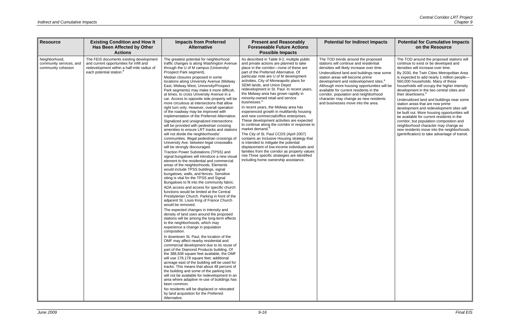| <b>Resource</b>                                                | <b>Existing Condition and How It</b><br>Has Been Affected by Other<br><b>Actions</b>                                                                                      | <b>Impacts from Preferred</b><br><b>Alternative</b>                                                                                                                                                                                                                                                                                                                                                                                                                                                                                                                                                                                                                                                                                                                                                                                                                                                                                                                                                                                                                                                                                                                                                                                                                                                                                                                                                                                                                                                                                                                                                                                                                                                                                                                                                                                                                                                                                                                                                                                                                                                                                                                                                                                                                                                                                                                                   | <b>Present and Reasonably</b><br><b>Foreseeable Future Actions</b><br><b>Possible Impacts</b>                                                                                                                                                                                                                                                                                                                                                                                                                                                                                                                                                                                                                                                                                                                                                                                                                                                                                                                                    | <b>Potential for Indirect Impacts</b>                                                                                                                                                                                                                                                                                                                                                                                                                                            | <b>Potential for Cumulative Impacts</b><br>on the Resource                                                                                                                                                                                                                                                                                                                                                                                                                                                                                                                                                                                                                                                                                                                                             |
|----------------------------------------------------------------|---------------------------------------------------------------------------------------------------------------------------------------------------------------------------|---------------------------------------------------------------------------------------------------------------------------------------------------------------------------------------------------------------------------------------------------------------------------------------------------------------------------------------------------------------------------------------------------------------------------------------------------------------------------------------------------------------------------------------------------------------------------------------------------------------------------------------------------------------------------------------------------------------------------------------------------------------------------------------------------------------------------------------------------------------------------------------------------------------------------------------------------------------------------------------------------------------------------------------------------------------------------------------------------------------------------------------------------------------------------------------------------------------------------------------------------------------------------------------------------------------------------------------------------------------------------------------------------------------------------------------------------------------------------------------------------------------------------------------------------------------------------------------------------------------------------------------------------------------------------------------------------------------------------------------------------------------------------------------------------------------------------------------------------------------------------------------------------------------------------------------------------------------------------------------------------------------------------------------------------------------------------------------------------------------------------------------------------------------------------------------------------------------------------------------------------------------------------------------------------------------------------------------------------------------------------------------|----------------------------------------------------------------------------------------------------------------------------------------------------------------------------------------------------------------------------------------------------------------------------------------------------------------------------------------------------------------------------------------------------------------------------------------------------------------------------------------------------------------------------------------------------------------------------------------------------------------------------------------------------------------------------------------------------------------------------------------------------------------------------------------------------------------------------------------------------------------------------------------------------------------------------------------------------------------------------------------------------------------------------------|----------------------------------------------------------------------------------------------------------------------------------------------------------------------------------------------------------------------------------------------------------------------------------------------------------------------------------------------------------------------------------------------------------------------------------------------------------------------------------|--------------------------------------------------------------------------------------------------------------------------------------------------------------------------------------------------------------------------------------------------------------------------------------------------------------------------------------------------------------------------------------------------------------------------------------------------------------------------------------------------------------------------------------------------------------------------------------------------------------------------------------------------------------------------------------------------------------------------------------------------------------------------------------------------------|
| Neighborhood,<br>community services, and<br>community cohesion | The FEIS documents existing development<br>and current opportunities for infill and<br>redevelopment within a half-mile radius of<br>each potential station. <sup>6</sup> | The greatest potential for neighborhood<br>traffic changes is along Washington Avenue<br>through the U of M campus (University/<br>Prospect Park segment).<br>Median closures proposed in some<br>locations along University Avenue (Midway<br>East, Midway West, University/Prospect<br>Park segments) may make it more difficult,<br>at times, to cross University Avenue in a<br>car. Access to opposite side property will be<br>more circuitous at intersections that allow<br>right turn only. However, overall operation<br>of the roadway may be improved with<br>implementation of the Preferred Alternative.<br>Signalized and unsignalized intersections<br>will be provided with pedestrian crossing<br>amenities to ensure LRT tracks and stations<br>will not divide the neighborhoods/<br>communities. Illegal pedestrian crossings of<br>University Ave. between legal crosswalks<br>will be strongly discouraged.<br>Traction Power Substations (TPSS) and<br>signal bungalows will introduce a new visual<br>element to the residential and commercial<br>areas of the neighborhoods. Elements<br>would include TPSS buildings, signal<br>bungalows, walls, and fences. Sensitive<br>siting is vital for the TPSS and Signal<br>Bungalows to fit into the community fabric.<br>ADA access and access for specific church<br>functions would be limited at the Central<br>Presbyterian Church. Parking in front of the<br>adjacent St. Louis King of France Church<br>would be removed.<br>The expected changes in intensity and<br>density of land uses around the proposed<br>stations will be among the long-term effects<br>to the neighborhoods, which may<br>experience a change in population<br>composition.<br>In downtown St. Paul, the location of the<br>OMF may affect nearby residential and<br>commercial development due to its reuse of<br>part of the Diamond Products building. Of<br>the 388,838 square feet available, the OMF<br>will use 178,178 square feet; additional<br>acreage east of the building will be used for<br>tracks. This means that about 48 percent of<br>the building and some of the parking lots<br>will not be available for redevelopment in an<br>area where adaptive re-use of buildings has<br>been common.<br>No residents will be displaced or relocated<br>by land acquisition for the Preferred<br>Alternative. | As described in Table 9-2, multiple public<br>and private actions are planned to take<br>place in the corridor-none of these are<br>part of the Preferred Alternative. Of<br>particular note are U of M development<br>activities, City of Minneapolis plans for<br>SEMI lands, and Union Depot<br>redevelopment in St. Paul. In recent years,<br>the Midway area has grown rapidly in<br>minority-owned retail and service<br>businesses. <sup>8</sup><br>In recent years, the Midway area has<br>experienced growth in multifamily housing<br>and new commercial/office enterprises.<br>These development activities are expected<br>to continue along the corridor in response to<br>market demand.<br>The City of St. Paul CCDS (April 2007)<br>contains an Inclusive Housing strategy that<br>is intended to mitigate the potential<br>displacement of low-income individuals and<br>families from the corridor as property values<br>rise Three specific strategies are identified<br>including home ownership assistance. | The TOD trends around the proposed<br>stations will continue and residential<br>densities will likely increase over time.<br>Underutilized land and buildings near some<br>station areas will become prime<br>development and redevelopment sites. <sup>a</sup><br>Although more housing opportunities will be<br>available for current residents in the<br>corridor, population and neighborhood<br>character may change as new residents<br>and businesses move into the area. | The TOD around the proposed stations will<br>continue to exist or be developed and<br>densities will increase over time.<br>By 2030, the Twin Cities Metropolitan Area<br>is expected to add nearly 1 million people-<br>560,000 households. Many of these<br>households will occupy the higher intensity<br>development in the two central cities and<br>their downtowns. <sup>a</sup><br>Underutilized land and buildings near some<br>station areas that are now prime<br>development and redevelopment sites will<br>be built out. More housing opportunities will<br>be available for current residents in the<br>corridor, but population composition and<br>neighborhood character may change as<br>new residents move into the neighborhoods<br>(gentrification) to take advantage of transit. |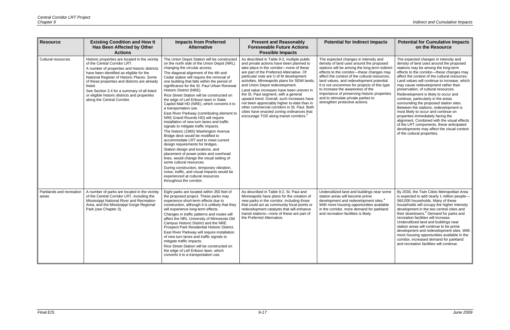| <b>Resource</b>                   | <b>Existing Condition and How It</b><br>Has Been Affected by Other<br><b>Actions</b>                                                                                                                                                                                                                                                                                                                                  | <b>Impacts from Preferred</b><br><b>Alternative</b>                                                                                                                                                                                                                                                                                                                                                                                                                                                                                                                                                                                                                                                                                                                                                                                                                                                                                                                                                                                                                                                                                                               | <b>Present and Reasonably</b><br><b>Foreseeable Future Actions</b><br><b>Possible Impacts</b>                                                                                                                                                                                                                                                                                                                                                                                                                                                                                                                                                      | <b>Potential for Indirect Impacts</b>                                                                                                                                                                                                                                                                                                                                                                                                                                                      | <b>Potential for Cumulative Impacts</b><br>on the Resource                                                                                                                                                                                                                                                                                                                                                                                                                                                                                                                                                                                                                                                                                                                     |
|-----------------------------------|-----------------------------------------------------------------------------------------------------------------------------------------------------------------------------------------------------------------------------------------------------------------------------------------------------------------------------------------------------------------------------------------------------------------------|-------------------------------------------------------------------------------------------------------------------------------------------------------------------------------------------------------------------------------------------------------------------------------------------------------------------------------------------------------------------------------------------------------------------------------------------------------------------------------------------------------------------------------------------------------------------------------------------------------------------------------------------------------------------------------------------------------------------------------------------------------------------------------------------------------------------------------------------------------------------------------------------------------------------------------------------------------------------------------------------------------------------------------------------------------------------------------------------------------------------------------------------------------------------|----------------------------------------------------------------------------------------------------------------------------------------------------------------------------------------------------------------------------------------------------------------------------------------------------------------------------------------------------------------------------------------------------------------------------------------------------------------------------------------------------------------------------------------------------------------------------------------------------------------------------------------------------|--------------------------------------------------------------------------------------------------------------------------------------------------------------------------------------------------------------------------------------------------------------------------------------------------------------------------------------------------------------------------------------------------------------------------------------------------------------------------------------------|--------------------------------------------------------------------------------------------------------------------------------------------------------------------------------------------------------------------------------------------------------------------------------------------------------------------------------------------------------------------------------------------------------------------------------------------------------------------------------------------------------------------------------------------------------------------------------------------------------------------------------------------------------------------------------------------------------------------------------------------------------------------------------|
| <b>Cultural resources</b>         | Historic properties are located in the vicinity<br>of the Central Corridor LRT.<br>A number of properties and historic districts<br>have been identified as eligible for the<br>National Register of Historic Places. Some<br>of these properties and districts are already<br>listed.<br>See Section 3.4 for a summary of all listed<br>or eligible historic districts and properties<br>along the Central Corridor. | The Union Depot Station will be constructed<br>on the north side of the Union Depot (NRL)<br>changing the circular access.<br>The diagonal alignment of the 4th and<br>Cedar station will require the removal of<br>one building that falls within the period of<br>significance for the St. Paul Urban Renewal<br>Historic District (NRE).<br>Rice Street Station will be constructed on<br>the edge of Leif Erikson lawn in State<br>Capitol Mall HD (NRE), which converts it to<br>a transportation use.<br>East River Parkway (contributing element to<br>NRE Grand Rounds HD) will require<br>installation of new turn lanes and traffic<br>signals to mitigate traffic impacts.<br>The historic (1965) Washington Avenue<br>Bridge deck would be modified to<br>accommodate LRT and to meet current<br>design requirements for bridges.<br>Station design and locations, and<br>placement of power poles and overhead<br>lines, would change the visual setting of<br>some cultural resources.<br>During construction, temporary vibration,<br>noise, traffic, and visual impacts would be<br>experienced at cultural resources<br>throughout the corridor. | As described in Table 9-2, multiple public<br>and private actions have been planned to<br>take place in the corridor-none of these<br>are part of the Preferred Alternative. Of<br>particular note are U of M development<br>activities, Minneapolis plans for SEMI lands,<br>and Union Depot redevelopment.<br>Land value increases have been uneven ir<br>the St. Paul segment, with a general<br>upward trend. Overall, such increases have<br>not been appreciably higher to-date than in<br>other commercial corridors in St. Paul. Both<br>cities have enacted zoning ordinances that<br>encourage TOD along transit corridors. <sup>a</sup> | The expected changes in intensity and<br>density of land uses around the proposed<br>stations will be among the long-term indirect<br>effects to the corridor-these changes may<br>affect the context of the cultural resources,<br>land values, and redevelopment potential.<br>It is not uncommon for projects of this type<br>to increase the awareness of the<br>importance of preserving historic properties<br>and to stimulate private parties to<br>strengthen protective actions. | The expected changes in intensity and<br>density of land uses around the proposed<br>stations may be among the long-term<br>effects to the corridor-these changes may<br>affect the context of the cultural resources.<br>Land values will continue to increase, which<br>may cause redevelopment rather than<br>preservation, of cultural resources.<br>Redevelopment is likely to occur and<br>continue, particularly in the areas<br>surrounding the proposed station sites.<br>Between the stations, redevelopment is<br>most likely to occur and continue on<br>properties immediately facing the<br>alignment. Combined with the visual effects<br>of the LRT components, these anticipated<br>developments may affect the visual context<br>of the cultural properties. |
| Parklands and recreation<br>areas | A number of parks are located in the vicinity<br>of the Central Corridor LRT, including the<br>Mississippi National River and Recreation<br>Area, and the Mississippi Gorge Regional<br>Park (see Chapter 3).                                                                                                                                                                                                         | Eight parks are located within 350 feet of<br>the proposed project. These parks may<br>experience short-term effects due to<br>construction, although it is unlikely that they<br>will experience long-term effects.<br>Changes in traffic patterns and routes will<br>affect the NRL University of Minnesota Old<br>Campus Historic District and the NRE<br>Prospect Park Residential Historic District.<br>East River Parkway will require installation<br>of new turn lanes and traffic signals to<br>mitigate traffic impacts.<br>Rice Street Station will be constructed on<br>the edge of Leif Erikson lawn, which<br>converts it to a transportation use.                                                                                                                                                                                                                                                                                                                                                                                                                                                                                                  | As described in Table 9-2, St. Paul and<br>Minneapolis have plans for the creation of<br>new parks in the corridor, including those<br>that could act as community focal points or<br>redevelopment catalysts that will enhance<br>transit stations-none of these are part of<br>the Preferred Alternative.                                                                                                                                                                                                                                                                                                                                        | Underutilized land and buildings near some<br>station areas will become prime<br>development and redevelopment sites. <sup>a</sup><br>With more housing opportunities available<br>in the corridor, more demand for parkland<br>and recreation facilities is likely.                                                                                                                                                                                                                       | By 2030, the Twin Cities Metropolitan Area<br>is expected to add nearly 1 million people-<br>560,000 households. Many of these<br>households will occupy the higher intensity<br>development in the two central cities and<br>their downtowns. <sup>a</sup> Demand for parks and<br>recreation facilities will increase.<br>Underutilized land and buildings near<br>station areas will continue to be prime<br>development and redevelopment sites. With<br>more housing opportunities available in the<br>corridor, increased demand for parkland<br>and recreation facilities will continue.                                                                                                                                                                                |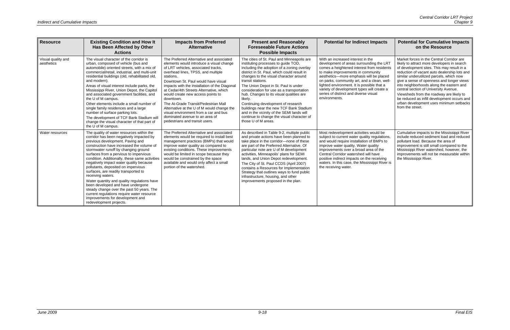| <b>Resource</b>                  | <b>Existing Condition and How It</b><br>Has Been Affected by Other<br><b>Actions</b>                                                                                                                                                                                                                                                                                                                                                                                                                                                                                                                                                                                                                    | <b>Impacts from Preferred</b><br><b>Alternative</b>                                                                                                                                                                                                                                                                                                                                                                                                                                                                                                                    | <b>Present and Reasonably</b><br><b>Foreseeable Future Actions</b><br><b>Possible Impacts</b>                                                                                                                                                                                                                                                                                                                                                                                                                                                                                                 | <b>Potential for Indirect Impacts</b>                                                                                                                                                                                                                                                                                                                                                                            | <b>Potential for Cumulative Impacts</b><br>on the Resource                                                                                                                                                                                                                                                                                                                                                                                                                                                                     |
|----------------------------------|---------------------------------------------------------------------------------------------------------------------------------------------------------------------------------------------------------------------------------------------------------------------------------------------------------------------------------------------------------------------------------------------------------------------------------------------------------------------------------------------------------------------------------------------------------------------------------------------------------------------------------------------------------------------------------------------------------|------------------------------------------------------------------------------------------------------------------------------------------------------------------------------------------------------------------------------------------------------------------------------------------------------------------------------------------------------------------------------------------------------------------------------------------------------------------------------------------------------------------------------------------------------------------------|-----------------------------------------------------------------------------------------------------------------------------------------------------------------------------------------------------------------------------------------------------------------------------------------------------------------------------------------------------------------------------------------------------------------------------------------------------------------------------------------------------------------------------------------------------------------------------------------------|------------------------------------------------------------------------------------------------------------------------------------------------------------------------------------------------------------------------------------------------------------------------------------------------------------------------------------------------------------------------------------------------------------------|--------------------------------------------------------------------------------------------------------------------------------------------------------------------------------------------------------------------------------------------------------------------------------------------------------------------------------------------------------------------------------------------------------------------------------------------------------------------------------------------------------------------------------|
| Visual quality and<br>aesthetics | The visual character of the corridor is<br>urban, composed of vehicle (bus and<br>automobile) oriented streets, with a mix of<br>commercial/retail, industrial, and multi-unit<br>residential buildings (old, rehabilitated old,<br>and modern).<br>Areas of visual interest include parks, the<br>Mississippi River, Union Depot, the Capitol<br>and associated government facilities, and<br>the U of M campus.<br>Other elements include a small number of<br>single family residences and a large<br>number of surface parking lots.<br>The development of TCF Bank Stadium will<br>change the visual character of that part of<br>the U of M campus.                                               | The Preferred Alternative and associated<br>elements would introduce a visual change<br>of LRT vehicles, associated tracks,<br>overhead lines, TPSS, and multiple<br>stations.<br>Downtown St. Paul would have visual<br>impacts with the installation of the Diagonal<br>at Cedar/4th Streets Alternative, which<br>would create new access points to<br>downtown.<br>The At-Grade Transit/Pedestrian Mall<br>Alternative at the U of M would change the<br>visual environment from a car and bus<br>dominated avenue to an area of<br>pedestrians and transit users. | The cities of St. Paul and Minneapolis are<br>instituting processes to guide TOD,<br>including the adoption of a zoning overlay<br>district in St. Paul, which could result in<br>changes to the visual character around<br>transit stations.<br>The Union Depot in St. Paul is under<br>consideration for use as a transportation<br>hub. Changes to its visual qualities are<br>likely.<br>Continuing development of research<br>buildings near the new TCF Bank Stadium<br>and in the vicinity of the SEMI lands will<br>continue to change the visual character of<br>those U of M areas. | With an increased interest in the<br>development of areas surrounding the LRT<br>comes a heightened interest from residents<br>to make improvements in community<br>aesthetics-more emphasis will be placed<br>on parks, community art, and a clean, well-<br>lighted environment. It is possible that a<br>variety of development types will create a<br>series of distinct and diverse visual<br>environments. | Market forces in the Central Corridor are<br>likely to attract more developers in search<br>of development sites. This may result in a<br>reduction of vacant auto dealership lots and<br>similar underutilized parcels, which now<br>give a sense of openness and longer views<br>into neighborhoods along the eastern and<br>central section of University Avenue.<br>Viewsheds from the roadway are likely to<br>be reduced as infill development occurs and<br>urban development uses minimum setbacks<br>from the street. |
| Water resources                  | The quality of water resources within the<br>corridor has been negatively impacted by<br>previous development. Paving and<br>construction have increased the volume of<br>stormwater runoff by changing ground<br>surfaces from a pervious to impervious<br>condition. Additionally, these same activities<br>negatively impact water quality because<br>pollutants, deposited on impervious<br>surfaces, are readily transported to<br>receiving waters.<br>Water quantity and quality regulations have<br>been developed and have undergone<br>steady change over the past 50 years. The<br>current regulations require water resource<br>improvements for development and<br>redevelopment projects. | The Preferred Alternative and associated<br>elements would be required to install best<br>management practices (BMPs) that would<br>improve water quality as compared to<br>existing conditions. These improvements<br>would be limited in scope because they<br>would be constrained by the space<br>available and would only affect a small<br>portion of the watershed.                                                                                                                                                                                             | As described in Table 9-2, multiple public<br>and private actions have been planned to<br>take place in the corridor-none of these<br>are part of the Preferred Alternative. Of<br>particular note are U of M development<br>activities, Minneapolis' plans for SEMI<br>lands, and Union Depot redevelopment.<br>The City of St. Paul CCDS (April 2007)<br>contains a Resources for Implementation<br>Strategy that outlines ways to fund public<br>infrastructure, housing, and other<br>improvements proposed in the plan.                                                                  | Most redevelopment activities would be<br>subject to current water quality regulations,<br>and would require installation of BMPs to<br>improve water quality. Water quality<br>improvements over a broad area of the<br>Central Corridor watershed will have<br>positive indirect impacts on the receiving<br>waters. In this case, the Mississippi River is<br>the receiving water.                            | Cumulative impacts to the Mississippi River<br>include reduced sediment load and reduced<br>pollutant load. Because the area of<br>improvement is still small compared to the<br>Mississippi River watershed, however, the<br>improvements will not be measurable within<br>the Mississippi River.                                                                                                                                                                                                                             |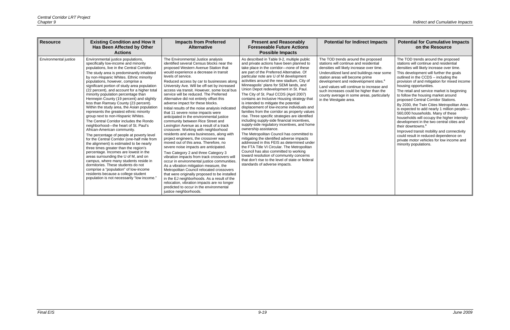| <b>Resource</b>       | <b>Existing Condition and How It</b><br>Has Been Affected by Other<br><b>Actions</b>                                                                                                                                                                                                                                                                                                                                                                                                                                                                                                                                                                                                                                                                                                                                                                                                                                                                                                                                                                                                                                                                                                                                 | <b>Impacts from Preferred</b><br><b>Alternative</b>                                                                                                                                                                                                                                                                                                                                                                                                                                                                                                                                                                                                                                                                                                                                                                                                                                                                                                                                                                                                                                                                                                                                                                                                                                                                                               | <b>Present and Reasonably</b><br><b>Foreseeable Future Actions</b><br><b>Possible Impacts</b>                                                                                                                                                                                                                                                                                                                                                                                                                                                                                                                                                                                                                                                                                                                                                                                                                                                                                                                                                                                                                                         | <b>Potential for Indirect Impacts</b>                                                                                                                                                                                                                                                                                                                                                                                          | <b>Potential for Cumulative Impacts</b><br>on the Resource                                                                                                                                                                                                                                                                                                                                                                                                                                                                                                                                                                                                                                                                                                                                                                                     |
|-----------------------|----------------------------------------------------------------------------------------------------------------------------------------------------------------------------------------------------------------------------------------------------------------------------------------------------------------------------------------------------------------------------------------------------------------------------------------------------------------------------------------------------------------------------------------------------------------------------------------------------------------------------------------------------------------------------------------------------------------------------------------------------------------------------------------------------------------------------------------------------------------------------------------------------------------------------------------------------------------------------------------------------------------------------------------------------------------------------------------------------------------------------------------------------------------------------------------------------------------------|---------------------------------------------------------------------------------------------------------------------------------------------------------------------------------------------------------------------------------------------------------------------------------------------------------------------------------------------------------------------------------------------------------------------------------------------------------------------------------------------------------------------------------------------------------------------------------------------------------------------------------------------------------------------------------------------------------------------------------------------------------------------------------------------------------------------------------------------------------------------------------------------------------------------------------------------------------------------------------------------------------------------------------------------------------------------------------------------------------------------------------------------------------------------------------------------------------------------------------------------------------------------------------------------------------------------------------------------------|---------------------------------------------------------------------------------------------------------------------------------------------------------------------------------------------------------------------------------------------------------------------------------------------------------------------------------------------------------------------------------------------------------------------------------------------------------------------------------------------------------------------------------------------------------------------------------------------------------------------------------------------------------------------------------------------------------------------------------------------------------------------------------------------------------------------------------------------------------------------------------------------------------------------------------------------------------------------------------------------------------------------------------------------------------------------------------------------------------------------------------------|--------------------------------------------------------------------------------------------------------------------------------------------------------------------------------------------------------------------------------------------------------------------------------------------------------------------------------------------------------------------------------------------------------------------------------|------------------------------------------------------------------------------------------------------------------------------------------------------------------------------------------------------------------------------------------------------------------------------------------------------------------------------------------------------------------------------------------------------------------------------------------------------------------------------------------------------------------------------------------------------------------------------------------------------------------------------------------------------------------------------------------------------------------------------------------------------------------------------------------------------------------------------------------------|
| Environmental justice | Environmental justice populations,<br>specifically low-income and minority<br>populations, live in the Central Corridor.<br>The study area is predominantly inhabited<br>by non-Hispanic Whites. Ethnic minority<br>populations, however, comprise a<br>significant portion of study area population<br>(22 percent), and account for a higher total<br>minority population percentage than<br>Hennepin County (19 percent) and slightly<br>less than Ramsey County (23 percent).<br>Within the study area, the Asian population<br>represents the greatest ethnic minority<br>group next to non-Hispanic Whites.<br>The Central Corridor includes the Rondo<br>neighborhood-the heart of St. Paul's<br>African-American community.<br>The percentage of people at poverty level<br>for the Central Corridor (one-half mile from<br>the alignment) is estimated to be nearly<br>three times greater than the region's<br>percentage. Incomes are lowest in the<br>areas surrounding the U of M, and on<br>campus, where many students reside in<br>dormitories. These students do not<br>comprise a "population" of low-income<br>residents because a college student<br>population is not necessarily "low income." | The Environmental Justice analysis<br>identified several Census blocks near the<br>proposed Western Avenue Station that<br>would experience a decrease in transit<br>levels of service.<br>Reduced access by car to businesses along<br>University Ave. Will be off-set by increased<br>access via transit. However, some local bus<br>service will be reduced. The Preferred<br>Alternative did not entirely offset this<br>adverse impact for these blocks.<br>Initial results of the noise analysis indicated<br>that 11 severe noise impacts were<br>anticipated in the environmental justice<br>community between Rice Street and<br>Lexington Avenue as a result of a track<br>crossover. Working with neighborhood<br>residents and area businesses, along with<br>project engineers, the crossover was<br>moved out of this area. Therefore, no<br>severe noise impacts are anticipated.<br>Two Category 2 and three Category 3<br>vibration impacts from track crossovers will<br>occur in environmental justice communities.<br>As a vibration mitigation measure, the<br>Metropolitan Council relocated crossovers<br>that were originally proposed to be installed<br>in the EJ neighborhoods. As a result of the<br>relocation, vibration impacts are no longer<br>predicted to occur in the environmental<br>justice neighborhoods. | As described in Table 9-2, multiple public<br>and private actions have been planned to<br>take place in the corridor-none of these<br>are part of the Preferred Alternative. Of<br>particular note are U of M development<br>activities around the new stadium, City of<br>Minneapolis' plans for SEMI lands, and<br>Union Depot redevelopment in St. Paul.<br>The City of St. Paul CCDS (April 2007)<br>contains an Inclusive Housing strategy that<br>is intended to mitigate the potential<br>displacement of low-income individuals and<br>families from the corridor as property values<br>rise. Three specific strategies are identified<br>including supply-side financial incentives,<br>supply-side regulatory incentives, and home<br>ownership assistance.<br>The Metropolitan Council has committed to<br>mitigating the identified adverse impacts<br>addressed in this FEIS as determined under<br>the FTA Title VI Circular. The Metropolitan<br>Council has also committed to working<br>toward resolution of community concerns<br>that don't rise to the level of state or federal<br>standards of adverse impacts. | The TOD trends around the proposed<br>stations will continue and residential<br>densities will likely increase over time.<br>Underutilized land and buildings near some<br>station areas will become prime<br>development and redevelopment sites. <sup>8</sup><br>Land values will continue to increase and<br>such increases could be higher than the<br>county average in some areas, particularly<br>in the Westgate area. | The TOD trends around the proposed<br>stations will continue and residential<br>densities will likely increase over time.<br>This development will further the goals<br>outlined in the CCDS - including the<br>provision of and mitigation for mixed income<br>housing opportunities.<br>The retail and service market is beginning<br>to follow the housing market around<br>proposed Central Corridor Stations.<br>By 2030, the Twin Cities Metropolitan Area<br>is expected to add nearly 1 million people-<br>560,000 households. Many of these<br>households will occupy the higher intensity<br>development in the two central cities and<br>their downtowns. <sup>a</sup><br>Improved transit mobility and connectivity<br>could result in reduced dependence on<br>private motor vehicles for low income and<br>minority populations. |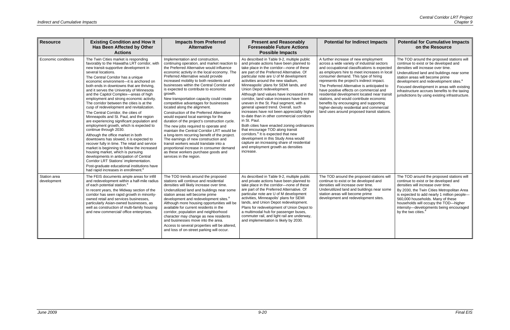| <b>Resource</b>             | <b>Existing Condition and How It</b><br>Has Been Affected by Other<br><b>Actions</b>                                                                                                                                                                                                                                                                                                                                                                                                                                                                                                                                                                                                                                                                                                                                                                                                                                                                                                                                                                                                                                            | <b>Impacts from Preferred</b><br><b>Alternative</b>                                                                                                                                                                                                                                                                                                                                                                                                                                                                                                                                                                                                                                                                                                                                                                                                                                                                                                                | <b>Present and Reasonably</b><br><b>Foreseeable Future Actions</b><br><b>Possible Impacts</b>                                                                                                                                                                                                                                                                                                                                                                                                                                                                                                                                                                                                                                                                                                                                                                                                                | <b>Potential for Indirect Impacts</b>                                                                                                                                                                                                                                                                                                                                                                                                                                                                                                                                                               | <b>Potential for Cumulative Impacts</b><br>on the Resource                                                                                                                                                                                                                                                                                                                                                       |
|-----------------------------|---------------------------------------------------------------------------------------------------------------------------------------------------------------------------------------------------------------------------------------------------------------------------------------------------------------------------------------------------------------------------------------------------------------------------------------------------------------------------------------------------------------------------------------------------------------------------------------------------------------------------------------------------------------------------------------------------------------------------------------------------------------------------------------------------------------------------------------------------------------------------------------------------------------------------------------------------------------------------------------------------------------------------------------------------------------------------------------------------------------------------------|--------------------------------------------------------------------------------------------------------------------------------------------------------------------------------------------------------------------------------------------------------------------------------------------------------------------------------------------------------------------------------------------------------------------------------------------------------------------------------------------------------------------------------------------------------------------------------------------------------------------------------------------------------------------------------------------------------------------------------------------------------------------------------------------------------------------------------------------------------------------------------------------------------------------------------------------------------------------|--------------------------------------------------------------------------------------------------------------------------------------------------------------------------------------------------------------------------------------------------------------------------------------------------------------------------------------------------------------------------------------------------------------------------------------------------------------------------------------------------------------------------------------------------------------------------------------------------------------------------------------------------------------------------------------------------------------------------------------------------------------------------------------------------------------------------------------------------------------------------------------------------------------|-----------------------------------------------------------------------------------------------------------------------------------------------------------------------------------------------------------------------------------------------------------------------------------------------------------------------------------------------------------------------------------------------------------------------------------------------------------------------------------------------------------------------------------------------------------------------------------------------------|------------------------------------------------------------------------------------------------------------------------------------------------------------------------------------------------------------------------------------------------------------------------------------------------------------------------------------------------------------------------------------------------------------------|
| Economic conditions         | The Twin Cities market is responding<br>favorably to the Hiawatha LRT corridor, with<br>new transit-supportive development in<br>several locations.<br>The Central Corridor has a unique<br>economic environment-it is anchored on<br>both ends in downtowns that are thriving,<br>and it serves the University of Minnesota<br>and the Capitol Complex-areas of high<br>employment and strong economic activity.<br>The corridor between the cities is at the<br>cusp of redevelopment and revitalization.<br>The Central Corridor, the cities of<br>Minneapolis and St. Paul, and the region<br>are experiencing significant population and<br>employment growth, which is expected to<br>continue through 2030.<br>Although the office market in both<br>downtowns has slowed, it is expected to<br>recover fully in time. The retail and service<br>market is beginning to follow the increased<br>housing market, which is pursuing<br>developments in anticipation of Central<br>Corridor LRT Stations' implementation.<br>Post-graduate educational institutions have<br>had rapid increases in enrollment. <sup>a</sup> | Implementation and construction,<br>continuing operation, and market reaction to<br>the Preferred Alternative would influence<br>economic activity in the local economy. The<br>Preferred Alternative would provide<br>increased mobility to both residents and<br>businesses within the Central Corridor and<br>is expected to contribute to economic<br>growth.<br>New transportation capacity could create<br>competitive advantages for businesses<br>located along the alignment.<br>Construction of the Preferred Alternative<br>would expand local earnings for the<br>duration of the project's construction cycle.<br>The new jobs required to operate and<br>maintain the Central Corridor LRT would be<br>a long-term recurring benefit of the project.<br>The earnings of new construction and<br>transit workers would translate into a<br>proportional increase in consumer demand<br>as these workers purchase goods and<br>services in the region. | As described in Table 9-2, multiple public<br>and private actions have been planned to<br>take place in the corridor-none of these<br>are part of the Preferred Alternative. Of<br>particular note are U of M development<br>activities around the new stadium,<br>Minneapolis' plans for SEMI lands, and<br>Union Depot redevelopment.<br>Although land values have increased in the<br>corridor, land value increases have been<br>uneven in the St. Paul segment, with a<br>general upward trend. Overall, such<br>increases have not been appreciably higher<br>to-date than in other commercial corridors<br>in St. Paul.<br>Both cities have enacted zoning ordinances<br>that encourage TOD along transit<br>corridors. <sup>a</sup> It is expected that new<br>development in this Study Area would<br>capture an increasing share of residential<br>and employment growth as densities<br>increase. | A further increase of new employment<br>across a wide variety of industrial sectors<br>and occupational classifications is expected<br>as employers hire to meet increases in local<br>consumer demand. This type of hiring<br>represents the project's indirect impact.<br>The Preferred Alternative is anticipated to<br>have positive effects on commercial and<br>residential development located near transit<br>stations, and would contribute economic<br>benefits by encouraging and supporting<br>higher-density residential and commercial<br>land uses around proposed transit stations. | The TOD around the proposed stations will<br>continue to exist or be developed and<br>densities will increase over time.<br>Underutilized land and buildings near some<br>station areas will become prime<br>development and redevelopment sites. <sup>a</sup><br>Focused development in areas with existing<br>infrastructure accrues benefits to the taxing<br>jurisdictions by using existing infrastructure. |
| Station area<br>development | The FEIS documents ample areas for infill<br>and redevelopment within a half-mile radius<br>of each potential station. <sup>a</sup><br>In recent years, the Midway section of the<br>corridor has seen rapid growth in minority-<br>owned retail and services businesses,<br>particularly Asian-owned businesses, as<br>well as construction of multi-family housing<br>and new commercial/ office enterprises.                                                                                                                                                                                                                                                                                                                                                                                                                                                                                                                                                                                                                                                                                                                 | The TOD trends around the proposed<br>stations will continue and residential<br>densities will likely increase over time.<br>Underutilized land and buildings near some<br>station areas will become prime<br>development and redevelopment sites. <sup>a</sup><br>Although more housing opportunities will be<br>available for current residents in the<br>corridor, population and neighborhood<br>character may change as new residents<br>and businesses move into the area.<br>Access to several properties will be altered,<br>and loss of on-street parking will occur.                                                                                                                                                                                                                                                                                                                                                                                     | As described in Table 9-2, multiple public<br>and private actions have been planned to<br>take place in the corridor-none of these<br>are part of the Preferred Alternative. Of<br>particular note are U of M development<br>activities, Minneapolis' plans for SEMI<br>lands, and Union Depot redevelopment.<br>Plans for redevelopment of Union Depot to<br>a multimodal hub for passenger buses,<br>commuter rail, and light rail are underway,<br>and implementation is likely by 2030.                                                                                                                                                                                                                                                                                                                                                                                                                  | The TOD around the proposed stations will<br>continue to exist or be developed and<br>densities will increase over time.<br>Underutilized land and buildings near some<br>station areas will become prime<br>development and redevelopment sites.                                                                                                                                                                                                                                                                                                                                                   | The TOD around the proposed stations will<br>continue to exist or be developed and<br>densities will increase over time.<br>By 2030, the Twin Cities Metropolitan Area<br>is expected to add nearly 1 million people-<br>560,000 households. Many of these<br>households will occupy the TOD-higher<br>intensity-developments being encouraged<br>by the two cities. <sup>5</sup>                                |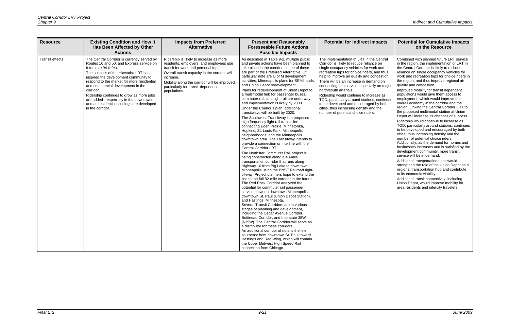| <b>Resource</b>        | <b>Existing Condition and How It</b><br>Has Been Affected by Other<br><b>Actions</b>                                                                                                                                                                                                                                                                                                                                                                     | <b>Impacts from Preferred</b><br><b>Alternative</b>                                                                                                                                                                                                                                            | <b>Present and Reasonably</b><br><b>Foreseeable Future Actions</b><br><b>Possible Impacts</b>                                                                                                                                                                                                                                                                                                                                                                                                                                                                                                                                                                                                                                                                                                                                                                                                                                                                                                                                                                                                                                                                                                                                                                                                                                                                                                                                                                                                                                                                                                                                                                                                                                                                                                                                                                                             | <b>Potential for Indirect Impacts</b>                                                                                                                                                                                                                                                                                                                                                                                                                                                                                                                                  | <b>Potential for Cumulative Impacts</b><br>on the Resource                                                                                                                                                                                                                                                                                                                                                                                                                                                                                                                                                                                                                                                                                                                                                                                                                                                                                                                                                                                                                                                                                                                                                                                                                                                                |
|------------------------|----------------------------------------------------------------------------------------------------------------------------------------------------------------------------------------------------------------------------------------------------------------------------------------------------------------------------------------------------------------------------------------------------------------------------------------------------------|------------------------------------------------------------------------------------------------------------------------------------------------------------------------------------------------------------------------------------------------------------------------------------------------|-------------------------------------------------------------------------------------------------------------------------------------------------------------------------------------------------------------------------------------------------------------------------------------------------------------------------------------------------------------------------------------------------------------------------------------------------------------------------------------------------------------------------------------------------------------------------------------------------------------------------------------------------------------------------------------------------------------------------------------------------------------------------------------------------------------------------------------------------------------------------------------------------------------------------------------------------------------------------------------------------------------------------------------------------------------------------------------------------------------------------------------------------------------------------------------------------------------------------------------------------------------------------------------------------------------------------------------------------------------------------------------------------------------------------------------------------------------------------------------------------------------------------------------------------------------------------------------------------------------------------------------------------------------------------------------------------------------------------------------------------------------------------------------------------------------------------------------------------------------------------------------------|------------------------------------------------------------------------------------------------------------------------------------------------------------------------------------------------------------------------------------------------------------------------------------------------------------------------------------------------------------------------------------------------------------------------------------------------------------------------------------------------------------------------------------------------------------------------|---------------------------------------------------------------------------------------------------------------------------------------------------------------------------------------------------------------------------------------------------------------------------------------------------------------------------------------------------------------------------------------------------------------------------------------------------------------------------------------------------------------------------------------------------------------------------------------------------------------------------------------------------------------------------------------------------------------------------------------------------------------------------------------------------------------------------------------------------------------------------------------------------------------------------------------------------------------------------------------------------------------------------------------------------------------------------------------------------------------------------------------------------------------------------------------------------------------------------------------------------------------------------------------------------------------------------|
| <b>Transit effects</b> | The Central Corridor is currently served by<br>Routes 16 and 50, and Express service on<br>Interstate 94 (I-94).<br>The success of the Hiawatha LRT has<br>inspired the development community to<br>respond to the market for more residential<br>and commercial development in the<br>corridor.<br>Ridership continues to grow as more jobs<br>are added-especially in the downtowns-<br>and as residential buildings are developed<br>in the corridor. | Ridership is likely to increase as more<br>residents, employers, and employees use<br>transit for work and personal trips.<br>Overall transit capacity in the corridor will<br>increase.<br>Mobility along the corridor will be improved<br>particularly for transit-dependent<br>populations. | As described in Table 9-2, multiple public<br>and private actions have been planned to<br>take place in the corridor-none of these<br>are part of the Preferred Alternative. Of<br>particular note are U of M development<br>activities, Minneapolis plans for SEMI lands,<br>and Union Depot redevelopment.<br>Plans for redevelopment of Union Depot to<br>a multimodal hub for passenger buses,<br>commuter rail, and light rail are underway,<br>and implementation is likely by 2030.<br>Under the Council's plan, additional<br>transitways will be built by 2020.<br>The Southwest Transitway is a proposed<br>high frequency light rail transit line<br>connecting Eden Prairie, Minnetonka,<br>Hopkins, St. Louis Park, Minneapolis<br>neighborhoods, and the Minneapolis<br>downtown area. The Transitway intends to<br>provide a connection or interline with the<br>Central Corridor LRT.<br>The Northstar Commuter Rail project is<br>being constructed along a 40-mile<br>transportation corridor that runs along<br>Highway 10 from Big Lake to downtown<br>Minneapolis using the BNSF Railroad right-<br>of-way. Project planners hope to extend the<br>line to the full 82-mile corridor in the future.<br>The Red Rock Corridor analyzed the<br>potential for commuter rail passenger<br>service between downtown Minneapolis,<br>downtown St. Paul (Union Depot Station),<br>and Hastings, Minnesota.<br>Several Transit Corridors are in various<br>stages of planning and development,<br>including the Cedar Avenue Corridor,<br>Bottineau Corridor, and Interstate 35W<br>(I-35W). The Central Corridor will serve as<br>a distributor for these corridors.<br>An additional corridor of note is the line<br>southeast from downtown St. Paul toward<br>Hastings and Red Wing, which will contain<br>the Upper Midwest High Speed Rail<br>connection from Chicago. | The implementation of LRT in the Central<br>Corridor is likely to reduce reliance on<br>single occupancy vehicles for work and<br>recreation trips for choice riders, and thus<br>help to improve air quality and congestion.<br>There will be an increase in demand on<br>connecting bus service, especially on major<br>north/south arterials.<br>Ridership would continue to increase as<br>TOD, particularly around stations, continues<br>to be developed and encouraged by both<br>cities, thus increasing density and the<br>number of potential choice riders. | Combined with planned future LRT service<br>in the region, the implementation of LRT in<br>the Central Corridor is likely to reduce<br>reliance on single occupancy vehicles for<br>work and recreation trips for choice riders in<br>the region, and thus improve regional air<br>quality and congestion.<br>Improved mobility for transit dependent<br>populations would give them access to<br>employment, which would improve the<br>overall economy in the corridor and the<br>region. Linking the Central Corridor LRT to<br>the proposed multimodal station at Union<br>Depot will increase its chances of success.<br>Ridership would continue to increase as<br>TOD, particularly around stations, continues<br>to be developed and encouraged by both<br>cities, thus increasing density and the<br>number of potential choice riders.<br>Additionally, as the demand for homes and<br>businesses increases and is satisfied by the<br>development community, more transit<br>service will be in demand.<br>Additional transportation uses would<br>strengthen the role of the Union Depot as a<br>regional transportation hub and contribute<br>to its economic viability.<br>Additional transit connectivity, including<br>Union Depot, would improve mobility for<br>area residents and intercity travelers. |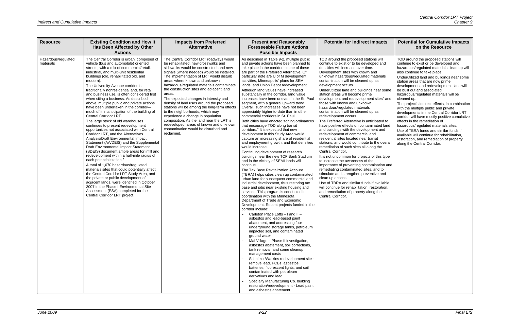| <b>Resource</b>                  | <b>Existing Condition and How It</b><br>Has Been Affected by Other<br><b>Actions</b>                                                                                                                                                                                                                                                                                                                                                                                                                                                                                                                                                                                                                                                                                                                                                                                                                                                                                                                                                                                                                                                                                                                                                                                                                                                                    | <b>Impacts from Preferred</b><br><b>Alternative</b>                                                                                                                                                                                                                                                                                                                                                                                                                                                                                                                                                                                                                                                               | <b>Present and Reasonably</b><br><b>Foreseeable Future Actions</b><br><b>Possible Impacts</b>                                                                                                                                                                                                                                                                                                                                                                                                                                                                                                                                                                                                                                                                                                                                                                                                                                                                                                                                                                                                                                                                                                                                                                                                                                                                                                                                                                                                                                                                                                                                                                                                                                                                                                                                                                                                                                                                                                                                                                                                         | <b>Potential for Indirect Impacts</b>                                                                                                                                                                                                                                                                                                                                                                                                                                                                                                                                                                                                                                                                                                                                                                                                                                                                                                                                                                                                                                                                                                                                                                                                                                                       | <b>Potential for Cumulative Impacts</b><br>on the Resource                                                                                                                                                                                                                                                                                                                                                                                                                                                                                                                                                                                                                                                                                                                                                             |
|----------------------------------|---------------------------------------------------------------------------------------------------------------------------------------------------------------------------------------------------------------------------------------------------------------------------------------------------------------------------------------------------------------------------------------------------------------------------------------------------------------------------------------------------------------------------------------------------------------------------------------------------------------------------------------------------------------------------------------------------------------------------------------------------------------------------------------------------------------------------------------------------------------------------------------------------------------------------------------------------------------------------------------------------------------------------------------------------------------------------------------------------------------------------------------------------------------------------------------------------------------------------------------------------------------------------------------------------------------------------------------------------------|-------------------------------------------------------------------------------------------------------------------------------------------------------------------------------------------------------------------------------------------------------------------------------------------------------------------------------------------------------------------------------------------------------------------------------------------------------------------------------------------------------------------------------------------------------------------------------------------------------------------------------------------------------------------------------------------------------------------|-------------------------------------------------------------------------------------------------------------------------------------------------------------------------------------------------------------------------------------------------------------------------------------------------------------------------------------------------------------------------------------------------------------------------------------------------------------------------------------------------------------------------------------------------------------------------------------------------------------------------------------------------------------------------------------------------------------------------------------------------------------------------------------------------------------------------------------------------------------------------------------------------------------------------------------------------------------------------------------------------------------------------------------------------------------------------------------------------------------------------------------------------------------------------------------------------------------------------------------------------------------------------------------------------------------------------------------------------------------------------------------------------------------------------------------------------------------------------------------------------------------------------------------------------------------------------------------------------------------------------------------------------------------------------------------------------------------------------------------------------------------------------------------------------------------------------------------------------------------------------------------------------------------------------------------------------------------------------------------------------------------------------------------------------------------------------------------------------------|---------------------------------------------------------------------------------------------------------------------------------------------------------------------------------------------------------------------------------------------------------------------------------------------------------------------------------------------------------------------------------------------------------------------------------------------------------------------------------------------------------------------------------------------------------------------------------------------------------------------------------------------------------------------------------------------------------------------------------------------------------------------------------------------------------------------------------------------------------------------------------------------------------------------------------------------------------------------------------------------------------------------------------------------------------------------------------------------------------------------------------------------------------------------------------------------------------------------------------------------------------------------------------------------|------------------------------------------------------------------------------------------------------------------------------------------------------------------------------------------------------------------------------------------------------------------------------------------------------------------------------------------------------------------------------------------------------------------------------------------------------------------------------------------------------------------------------------------------------------------------------------------------------------------------------------------------------------------------------------------------------------------------------------------------------------------------------------------------------------------------|
| Hazardous/regulated<br>materials | The Central Corridor is urban, composed of<br>vehicle (bus and automobile) oriented<br>streets, with a mix of commercial/retail,<br>industrial, and multi-unit residential<br>buildings (old, rehabilitated old, and<br>modern).<br>The University Avenue corridor is<br>traditionally nonresidential and, for retail<br>and business use, is often considered first<br>when siting a business. As described<br>above, multiple public and private actions<br>have been undertaken in the corridor-<br>much of it in anticipation of the building of<br>Central Corridor LRT.<br>The large stock of old warehouses<br>continues to present redevelopment<br>opportunities not associated with Central<br>Corridor LRT, and the Alternatives<br>Analysis/Draft Environmental Impact<br>Statement (AA/DEIS) and the Supplemental<br>Draft Environmental Impact Statement<br>(SDEIS) document ample areas for infill and<br>redevelopment within a half-mile radius of<br>each potential station. <sup>a</sup><br>A total of 1,070 hazardous/regulated<br>materials sites that could potentially affect<br>the Central Corridor LRT Study Area, and<br>the private or public development of<br>adjacent lands, were identified in October<br>2007 in the Phase I Environmental Site<br>Assessment (ESA) completed for the<br>Central Corridor LRT project. | The Central Corridor LRT roadways would<br>be rehabilitated, new crosswalks and<br>sidewalks would be constructed, and new<br>signals (where needed) would be installed.<br>The implementation of LRT would disturb<br>areas where known and unknown<br>hazardous/regulated materials contaminate<br>the construction sites and adjacent land<br>areas.<br>The expected changes in intensity and<br>density of land uses around the proposed<br>stations will be among the long-term effects<br>to the neighborhoods, which may<br>experience a change in population<br>composition. As the land near the LRT is<br>redeveloped, areas of known and unknown<br>contamination would be disturbed and<br>reclaimed. | As described in Table 9-2, multiple public<br>and private actions have been planned to<br>take place in the corridor-none of these<br>are part of the Preferred Alternative. Of<br>particular note are U of M development<br>activities, Minneapolis' plans for SEMI<br>lands, and Union Depot redevelopment.<br>Although land values have increased<br>substantially in the corridor, land value<br>increases have been uneven in the St. Paul<br>segment, with a general upward trend.<br>Overall, such increases have not been<br>appreciably higher to-date than in other<br>commercial corridors in St. Paul.<br>Both cities have enacted zoning ordinances<br>that encourage TOD along transit<br>corridors. <sup>a</sup> It is expected that new<br>development in this Study Area would<br>capture an increasing share of residential<br>and employment growth, and that densities<br>would increase.<br>Continuing development of research<br>buildings near the new TCF Bank Stadium<br>and in the vicinity of SEMI lands will<br>continue.<br>The Tax Base Revitalization Account<br>(TBRA) helps cities clean up contaminated<br>urban land for subsequent commercial and<br>industrial development, thus restoring tax<br>base and jobs near existing housing and<br>services. This program is conducted in<br>coordination with the Minnesota<br>Department of Trade and Economic<br>Development. Recent projects funded in the<br>corridor include:<br>Carleton Place Lofts - I and II -<br>asbestos and lead-based paint<br>abatement, and addressing four<br>underground storage tanks, petroleum<br>impacted soil, and contaminated<br>ground water<br>Mai Village - Phase II investigation,<br>asbestos abatement, soil corrections,<br>tank removal, and some cleanup<br>management costs<br>Schnitzer/Watkins redevelopment site -<br>remove lead, PCBs, asbestos,<br>batteries, fluorescent lights, and soil<br>contaminated with petroleum<br>derivatives and lead<br>Specialty Manufacturing Co. building<br>restoration/redevelopment - Lead paint<br>and asbestos abatement | TOD around the proposed stations will<br>continue to exist or to be developed and<br>densities will increase over time.<br>Development sites with known and<br>unknown hazardous/regulated materials<br>contamination will be cleaned up as<br>development occurs.<br>Underutilized land and buildings near some<br>station areas will become prime<br>development and redevelopment sites <sup>a</sup> and<br>those with known and unknown<br>hazardous/regulated materials<br>contamination will be cleaned up as<br>redevelopment occurs.<br>The Preferred Alternative is anticipated to<br>have positive effects on contaminated land<br>and buildings with the development and<br>redevelopment of commercial and<br>residential sites located near transit<br>stations, and would contribute to the overall<br>remediation of such sites all along the<br>Central Corridor.<br>It is not uncommon for projects of this type<br>to increase the awareness of the<br>importance of preventing contamination and<br>remediating contaminated sites, and to<br>stimulate and strengthen preventive and<br>clean up actions.<br>Use of TBRA and similar funds if available<br>will continue for rehabilitation, restoration,<br>and remediation of property along the<br>Central Corridor. | TOD around the proposed stations will<br>continue to exist or be developed and<br>hazardous/regulated materials clean up will<br>also continue to take place.<br>Underutilized land and buildings near some<br>station areas that are now prime<br>development and redevelopment sites will<br>be built out and associated<br>hazardous/regulated materials will be<br>cleaned up.<br>The project's indirect effects, in combination<br>with the multiple public and private<br>developments in the Central Corridor LRT<br>corridor will have mostly positive cumulative<br>effects in the remediation of<br>hazardous/regulated materials sites.<br>Use of TBRA funds and similar funds if<br>available will continue for rehabilitation,<br>restoration, and remediation of property<br>along the Central Corridor. |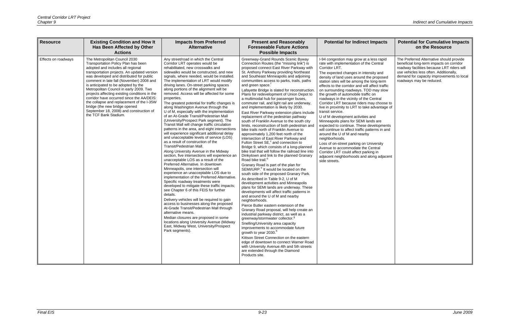| <b>Resource</b>     | <b>Existing Condition and How It</b><br>Has Been Affected by Other<br><b>Actions</b>                                                                                                                                                                                                                                                                                                                                                                                                                                                                                               | <b>Impacts from Preferred</b><br><b>Alternative</b>                                                                                                                                                                                                                                                                                                                                                                                                                                                                                                                                                                                                                                                                                                                                                                                                                                                                                                                                                                                                                                                                                                                                                                                                                                                                                                                                                                                                                                                                                                                                                                                                      | <b>Present and Reasonably</b><br><b>Foreseeable Future Actions</b><br><b>Possible Impacts</b>                                                                                                                                                                                                                                                                                                                                                                                                                                                                                                                                                                                                                                                                                                                                                                                                                                                                                                                                                                                                                                                                                                                                                                                                                                                                                                                                                                                                                                                                                                                                                                                                                                                                                                                                                                                                                                                           | <b>Potential for Indirect Impacts</b>                                                                                                                                                                                                                                                                                                                                                                                                                                                                                                                                                                                                                                                                                                                                                                                                                                                                                                                      | <b>Potential for Cumulative Impacts</b><br>on the Resource                                                                                                                                                                                            |
|---------------------|------------------------------------------------------------------------------------------------------------------------------------------------------------------------------------------------------------------------------------------------------------------------------------------------------------------------------------------------------------------------------------------------------------------------------------------------------------------------------------------------------------------------------------------------------------------------------------|----------------------------------------------------------------------------------------------------------------------------------------------------------------------------------------------------------------------------------------------------------------------------------------------------------------------------------------------------------------------------------------------------------------------------------------------------------------------------------------------------------------------------------------------------------------------------------------------------------------------------------------------------------------------------------------------------------------------------------------------------------------------------------------------------------------------------------------------------------------------------------------------------------------------------------------------------------------------------------------------------------------------------------------------------------------------------------------------------------------------------------------------------------------------------------------------------------------------------------------------------------------------------------------------------------------------------------------------------------------------------------------------------------------------------------------------------------------------------------------------------------------------------------------------------------------------------------------------------------------------------------------------------------|---------------------------------------------------------------------------------------------------------------------------------------------------------------------------------------------------------------------------------------------------------------------------------------------------------------------------------------------------------------------------------------------------------------------------------------------------------------------------------------------------------------------------------------------------------------------------------------------------------------------------------------------------------------------------------------------------------------------------------------------------------------------------------------------------------------------------------------------------------------------------------------------------------------------------------------------------------------------------------------------------------------------------------------------------------------------------------------------------------------------------------------------------------------------------------------------------------------------------------------------------------------------------------------------------------------------------------------------------------------------------------------------------------------------------------------------------------------------------------------------------------------------------------------------------------------------------------------------------------------------------------------------------------------------------------------------------------------------------------------------------------------------------------------------------------------------------------------------------------------------------------------------------------------------------------------------------------|------------------------------------------------------------------------------------------------------------------------------------------------------------------------------------------------------------------------------------------------------------------------------------------------------------------------------------------------------------------------------------------------------------------------------------------------------------------------------------------------------------------------------------------------------------------------------------------------------------------------------------------------------------------------------------------------------------------------------------------------------------------------------------------------------------------------------------------------------------------------------------------------------------------------------------------------------------|-------------------------------------------------------------------------------------------------------------------------------------------------------------------------------------------------------------------------------------------------------|
| Effects on roadways | The Metropolitan Council 2030<br>Transportation Policy Plan has been<br>adopted and includes all regional<br>transportation projects. An updated version<br>was developed and distributed for public<br>comment in late fall (November) 2008 and<br>is anticipated to be adopted by the<br>Metropolitan Council in early 2009. Two<br>projects affecting existing conditions in the<br>corridor have occurred since the AA/DEIS:<br>the collapse and replacement of the I-35W<br>bridge (the new bridge opened<br>September 18, 2008) and construction of<br>the TCF Bank Stadium. | Any street/road in which the Central<br>Corridor LRT operates would be<br>rehabilitated, new crosswalks and<br>sidewalks would be constructed, and new<br>signals, where needed, would be installed.<br>The implementation of LRT would modify<br>driving lanes. On-street parking spaces<br>along portions of the alignment will be<br>removed. Access will be affected for some<br>properties.<br>The greatest potential for traffic changes is<br>along Washington Avenue through the<br>U of M, especially with the implementation<br>of an At-Grade Transit/Pedestrian Mall<br>(University/Prospect Park segment). The<br>Transit Mall will change traffic circulation<br>patterns in the area, and eight intersections<br>will experience significant additional delay<br>and unacceptable levels of service (LOS)<br>as a result of construction of the<br>Transit/Pedestrian Mall.<br>Along University Avenue in the Midway<br>section, five intersections will experience an<br>unacceptable LOS as a result of the<br>Preferred Alternative. In downtown<br>Minneapolis, one intersection will<br>experience an unacceptable LOS due to<br>implementation of the Preferred Alternative.<br>Specific roadway treatments were<br>developed to mitigate these traffic impacts;<br>see Chapter 6 of this FEIS for further<br>details.<br>Delivery vehicles will be required to gain<br>access to businesses along the proposed<br>At-Grade Transit/Pedestrian Mall through<br>alternative means.<br>Median closures are proposed in some<br>locations along University Avenue (Midway<br>East, Midway West, University/Prospect<br>Park segments). | Greenway-Grand Rounds Scenic Byway<br>Connection Routes (the "missing link") is<br>proposed connect East River Parkway with<br>St. Anthony Parkway providing Northeast<br>and Southeast Minneapolis and adjoining<br>communities access to parks, trails, paths<br>and green space.<br>Lafayette Bridge is slated for reconstruction.<br>Plans for redevelopment of Union Depot to<br>a multimodal hub for passenger buses,<br>commuter rail, and light rail are underway,<br>and implementation is likely by 2030.<br>East River Parkway extension plans include<br>replacement of the pedestrian pathway<br>south of Franklin Avenue to the south city<br>limits, reconstruction of both pedestrian and<br>bike trails north of Franklin Avenue to<br>approximately 1,200 feet north of the<br>intersection of East River Parkway and<br>Fulton Street SE, <sup>c</sup> and connection to<br>Bridge 9, which consists of a long-planned<br>bike trail that will follow the railroad line into<br>Dinkytown and link to the planned Granary<br>Road bike trail. <sup>d</sup><br>Granary Road is part of the plan for<br>SEMI/URP. <sup>e</sup> It would be located on the<br>south side of the proposed Granary Park.<br>As described in Table 9-2, U of M<br>development activities and Minneapolis<br>plans for SEMI lands are underway. These<br>developments will affect traffic patterns in<br>and around the U of M and nearby<br>neighborhoods.<br>Pierce Butler eastern extension of the<br>Granary Road proposal, will help create an<br>industrial parkway district, as well as a<br>greenway/stormwater collector. <sup>9</sup><br>Snelling/University area capacity<br>improvements to accommodate future<br>growth to year 2030. <sup>ht</sup><br>Kittson Street Connection on the eastern<br>edge of downtown to connect Warner Road<br>with University Avenue.4th and 5th streets<br>are extended through the Diamond<br>Products site. | I-94 congestion may grow at a less rapid<br>rate with implementation of the Central<br>Corridor LRT.<br>The expected changes in intensity and<br>density of land uses around the proposed<br>station sites will be among the long-term<br>effects to the corridor and will affect traffic<br>on surrounding roadways. TOD may slow<br>the growth of automobile traffic on<br>roadways in the vicinity of the Central<br>Corridor LRT because riders may choose to<br>live in proximity to LRT to take advantage of<br>transit service.<br>U of M development activities and<br>Minneapolis plans for SEMI lands are<br>expected to continue. These developments<br>will continue to affect traffic patterns in and<br>around the U of M and nearby<br>neighborhoods.<br>Loss of on-street parking on University<br>Avenue to accommodate the Central<br>Corridor LRT could affect parking in<br>adjacent neighborhoods and along adjacent<br>side streets. | The Preferred Alternative should provide<br>beneficial long-term impacts on corridor<br>roadway facilities because LRT riders will<br>use vehicles less often. Additionally,<br>demand for capacity improvements to local<br>roadways may be reduced. |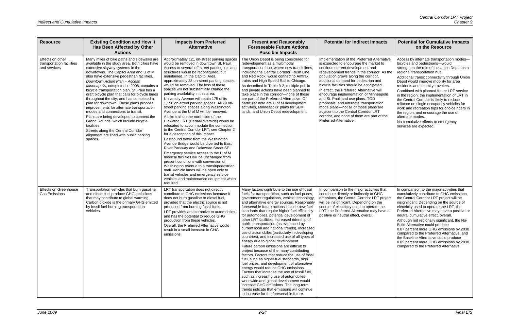| <b>Resource</b>                                               | <b>Existing Condition and How It</b><br>Has Been Affected by Other<br><b>Actions</b>                                                                                                                                                                                                                                                                                                                                                                                                                                                                                                                                                                                                                                                                                          | <b>Impacts from Preferred</b><br><b>Alternative</b>                                                                                                                                                                                                                                                                                                                                                                                                                                                                                                                                                                                                                                                                                                                                                                                                                                                                                                                                                                                                                                                                                                                                                                                             | <b>Present and Reasonably</b><br><b>Foreseeable Future Actions</b><br><b>Possible Impacts</b>                                                                                                                                                                                                                                                                                                                                                                                                                                                                                                                                                                                                                                                                                                                                                                                                                                                                                                                                                                                                                                                                                   | <b>Potential for Indirect Impacts</b>                                                                                                                                                                                                                                                                                                                                                                                                                                                                                                                                                                                                  | <b>Potential for Cumulative Impacts</b><br>on the Resource                                                                                                                                                                                                                                                                                                                                                                                                                                                                                                                                                                                                   |
|---------------------------------------------------------------|-------------------------------------------------------------------------------------------------------------------------------------------------------------------------------------------------------------------------------------------------------------------------------------------------------------------------------------------------------------------------------------------------------------------------------------------------------------------------------------------------------------------------------------------------------------------------------------------------------------------------------------------------------------------------------------------------------------------------------------------------------------------------------|-------------------------------------------------------------------------------------------------------------------------------------------------------------------------------------------------------------------------------------------------------------------------------------------------------------------------------------------------------------------------------------------------------------------------------------------------------------------------------------------------------------------------------------------------------------------------------------------------------------------------------------------------------------------------------------------------------------------------------------------------------------------------------------------------------------------------------------------------------------------------------------------------------------------------------------------------------------------------------------------------------------------------------------------------------------------------------------------------------------------------------------------------------------------------------------------------------------------------------------------------|---------------------------------------------------------------------------------------------------------------------------------------------------------------------------------------------------------------------------------------------------------------------------------------------------------------------------------------------------------------------------------------------------------------------------------------------------------------------------------------------------------------------------------------------------------------------------------------------------------------------------------------------------------------------------------------------------------------------------------------------------------------------------------------------------------------------------------------------------------------------------------------------------------------------------------------------------------------------------------------------------------------------------------------------------------------------------------------------------------------------------------------------------------------------------------|----------------------------------------------------------------------------------------------------------------------------------------------------------------------------------------------------------------------------------------------------------------------------------------------------------------------------------------------------------------------------------------------------------------------------------------------------------------------------------------------------------------------------------------------------------------------------------------------------------------------------------------|--------------------------------------------------------------------------------------------------------------------------------------------------------------------------------------------------------------------------------------------------------------------------------------------------------------------------------------------------------------------------------------------------------------------------------------------------------------------------------------------------------------------------------------------------------------------------------------------------------------------------------------------------------------|
| Effects on other<br>transportation facilities<br>and services | Many miles of bike paths and sidewalks are<br>available in the study area. Both cities have<br>extensive skyway systems in the<br>downtowns. The Capitol Area and U of M<br>also have extensive pedestrian facilities.<br>Downtown Action Plan - Access<br>Minneapolis, completed in 2008, contains a<br>bicycle transportation plan. St. Paul has a<br>draft bicycle plan that calls for bicycle lanes<br>throughout the city, and has completed a<br>plan for downtown. These plans propose<br>improvements for alternate transportation<br>modes and connections to transit.<br>Plans are being developed to connect the<br>Grand Rounds, which include bicycle<br>facilities.<br>Streets along the Central Corridor<br>alignment are lined with public parking<br>spaces. | Approximately 121 on-street parking spaces<br>would be removed in downtown St. Paul.<br>Access to several off-street parking lots and<br>structures would be reconfigured, but<br>maintained. In the Capitol Area,<br>approximately 28 on-street parking spaces<br>would be removed. The loss of these<br>spaces will not substantially change the<br>parking availability in this area.<br>University Avenue will retain 175 of its<br>1,150 on-street parking spaces. All 79 on-<br>street parking spaces along Washington<br>Avenue at the U of M will be removed.<br>A bike trail on the north side of the<br>Hiawatha LRT (Cedar/Riverside) would be<br>relocated to accommodate the connection<br>to the Central Corridor LRT; see Chapter 2<br>for a description of this impact.<br>Eastbound traffic from the Washington<br>Avenue Bridge would be diverted to East<br>River Parkway and Delaware Street SE.<br>Emergency service access to the U of M<br>medical facilities will be unchanged from<br>present conditions with conversion of<br>Washington Avenue to a transit/pedestrian<br>mall. Vehicle lanes will be open only to<br>transit vehicles and emergency service<br>vehicles and maintenance equipment when<br>required. | The Union Depot is being considered for<br>redevelopment as a multimodal<br>transportation hub, where new transit lines<br>including the Central Corridor, Rush Line,<br>and Red Rock, would connect to Amtrak<br>trains and High Speed Rail to Chicago.<br>As described in Table 9-2, multiple public<br>and private actions have been planned to<br>take place in the corridor-none of these<br>are part of the Preferred Alternative. Of<br>particular note are U of M development<br>activities, Minneapolis' plans for SEMI<br>lands, and Union Depot redevelopment.                                                                                                                                                                                                                                                                                                                                                                                                                                                                                                                                                                                                       | Implementation of the Preferred Alternative<br>is expected to encourage the market to<br>continue current development and<br>redevelopment trends in the corridor. As the<br>population grows along the corridor,<br>additional demand for pedestrian and<br>bicycle facilities should be anticipated.<br>In effect, the Preferred Alternative will<br>encourage implementation of Minneapolis<br>and St. Paul land use plans, TOD<br>proposals, and alternate transportation<br>mode plans-not all of those plans are<br>adjacent to the Central Corridor LRT<br>corridor, and none of them are part of the<br>Preferred Alternative. | Access by alternate transportation modes-<br>bicycles and pedestrians-would<br>strengthen the role of the Union Depot as a<br>regional transportation hub.<br>Additional transit connectivity through Union<br>Depot would improve mobility for area<br>residents and intercity travelers.<br>Combined with planned future LRT service<br>in the region, the implementation of LRT in<br>the Central Corridor is likely to reduce<br>reliance on single occupancy vehicles for<br>work and recreation trips for choice riders in<br>the region, and encourage the use of<br>alternate modes.<br>No cumulative effects to emergency<br>services are expected. |
| <b>Effects on Greenhouse</b><br><b>Gas Emissions</b>          | Transportation vehicles that burn gasoline<br>and diesel fuel produce GHG emissions<br>that may contribute to global warming.<br>Carbon dioxide is the primary GHG emitted<br>by fossil-fuel-burning transportation<br>vehicles.                                                                                                                                                                                                                                                                                                                                                                                                                                                                                                                                              | LRT transportation does not directly<br>contribute to GHG emissions because it<br>does not burn gasoline or diesel fuel,<br>provided that the electric source is not<br>produced from burning fossil fuels.<br>LRT provides an alternative to automobiles,<br>and has the potential to reduce GHG<br>production from these vehicles.<br>Overall, the Preferred Alternative would<br>result in a small increase in GHG<br>emissions.                                                                                                                                                                                                                                                                                                                                                                                                                                                                                                                                                                                                                                                                                                                                                                                                             | Many factors contribute to the use of fossil<br>fuels for transportation, such as fuel prices,<br>government regulations, vehicle technology,<br>and alternative energy sources. Reasonably<br>foreseeable future actions include new fuel<br>standards that require higher fuel efficiency<br>for automobiles, potential development of<br>other LRT facilities, increased ridership of<br>public transportation (as evidenced by<br>current local and national trends), increased<br>use of automobiles (particularly in developing<br>countries), and increased use of all types of<br>energy due to global development.<br>Future carbon emissions are difficult to<br>project because of the many contributing<br>factors. Factors that reduce the use of fossil<br>fuel, such as higher fuel standards, high<br>fuel prices, and development of alternative<br>energy would reduce GHG emissions.<br>Factors that increase the use of fossil fuel,<br>such as increasing use of automobiles<br>worldwide and global development would<br>increase GHG emissions. The long-term<br>trends indicate that emissions will continue<br>to increase for the foreseeable future. | In comparison to the major activities that<br>contribute directly or indirectly to GHG<br>emissions, the Central Corridor LRT project<br>will be insignificant. Depending on the<br>source of electricity used to operate the<br>LRT, the Preferred Alternative may have a<br>positive or neutral effect, overall.                                                                                                                                                                                                                                                                                                                     | In comparison to the major activities that<br>cumulatively contribute to GHG emissions,<br>the Central Corridor LRT project will be<br>insignificant. Depending on the source of<br>electricity used to operate the LRT, the<br>Preferred Alternative may have a positive or<br>neutral cumulative effect, overall.<br>Although not regionally significant, the No-<br>Build Alternative could produce<br>0.07 percent more GHG emissions by 2030<br>compared to the Preferred Alternative, and<br>the Baseline Alternative could produce<br>0.05 percent more GHG emissions by 2030<br>compared to the Preferred Alternative.                               |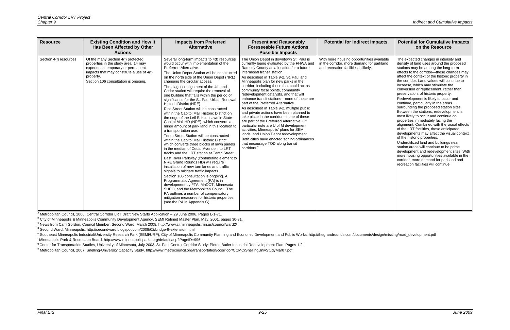| <b>Resource</b>        | <b>Existing Condition and How It</b><br>Has Been Affected by Other<br><b>Actions</b>                                                                                                                              | <b>Impacts from Preferred</b><br><b>Alternative</b>                                                                                                                                                                                                                                                                                                                                                                                                                                                                                                                                                                                                                                                                                                                                                                                                                                                                                                                                                                                                                                                                                                                                                                                                                                                                                                                                                                             | <b>Present and Reasonably</b><br><b>Foreseeable Future Actions</b><br><b>Possible Impacts</b>                                                                                                                                                                                                                                                                                                                                                                                                                                                                                                                                                                                                                                                                                                                                                                                                       | <b>Potential for Indirect Impacts</b>                                                                                          | <b>Potential for Cumulative Impacts</b><br>on the Resource                                                                                                                                                                                                                                                                                                                                                                                                                                                                                                                                                                                                                                                                                                                                                                                                                                                                                                                                                                                                                             |
|------------------------|-------------------------------------------------------------------------------------------------------------------------------------------------------------------------------------------------------------------|---------------------------------------------------------------------------------------------------------------------------------------------------------------------------------------------------------------------------------------------------------------------------------------------------------------------------------------------------------------------------------------------------------------------------------------------------------------------------------------------------------------------------------------------------------------------------------------------------------------------------------------------------------------------------------------------------------------------------------------------------------------------------------------------------------------------------------------------------------------------------------------------------------------------------------------------------------------------------------------------------------------------------------------------------------------------------------------------------------------------------------------------------------------------------------------------------------------------------------------------------------------------------------------------------------------------------------------------------------------------------------------------------------------------------------|-----------------------------------------------------------------------------------------------------------------------------------------------------------------------------------------------------------------------------------------------------------------------------------------------------------------------------------------------------------------------------------------------------------------------------------------------------------------------------------------------------------------------------------------------------------------------------------------------------------------------------------------------------------------------------------------------------------------------------------------------------------------------------------------------------------------------------------------------------------------------------------------------------|--------------------------------------------------------------------------------------------------------------------------------|----------------------------------------------------------------------------------------------------------------------------------------------------------------------------------------------------------------------------------------------------------------------------------------------------------------------------------------------------------------------------------------------------------------------------------------------------------------------------------------------------------------------------------------------------------------------------------------------------------------------------------------------------------------------------------------------------------------------------------------------------------------------------------------------------------------------------------------------------------------------------------------------------------------------------------------------------------------------------------------------------------------------------------------------------------------------------------------|
| Section 4(f) resources | Of the many Section 4(f) protected<br>properties in the study area, 14 may<br>experience temporary or permanent<br>impacts that may constitute a use of 4(f)<br>property.<br>Section 106 consultation is ongoing. | Several long-term impacts to 4(f) resources<br>would occur with implementation of the<br>Preferred Alternative.<br>The Union Depot Station will be constructed<br>on the north side of the Union Depot (NRL)<br>changing the circular access.<br>The diagonal alignment of the 4th and<br>Cedar station will require the removal of<br>one building that falls within the period of<br>significance for the St. Paul Urban Renewal<br>Historic District (NRE).<br>Rice Street Station will be constructed<br>within the Capitol Mall Historic District on<br>the edge of the Leif Erikson lawn in State<br>Capitol Mall HD (NRE), which converts a<br>minor amount of park land in this location to<br>a transportation use.<br>Tenth Street Station will be constructed<br>within the Capitol Mall Historic District,<br>which converts three blocks of lawn panels<br>in the median of Cedar Avenue into LRT<br>tracks and the LRT station at Tenth Street.<br>East River Parkway (contributing element to<br>NRE Grand Rounds HD) will require<br>installation of new turn lanes and traffic<br>signals to mitigate traffic impacts.<br>Section 106 consultation is ongoing. A<br>Programmatic Agreement (PA) is in<br>development by FTA, MnDOT, Minnesota<br>SHPO, and the Metropolitan Council. The<br>PA outlines a number of compensatory<br>mitigation measures for historic properties<br>(see the PA in Appendix G). | The Union Depot in downtown St. Paul is<br>currently being evaluated by the FHWA and<br>Ramsey County as a location for a future<br>intermodal transit station.<br>As described in Table 9-2, St. Paul and<br>Minneapolis plan for new parks in the<br>corridor, including those that could act as<br>community focal points, community<br>redevelopment catalysts, and that will<br>enhance transit stations-none of these are<br>part of the Preferred Alternative.<br>As described in Table 9-2, multiple public<br>and private actions have been planned to<br>take place in the corridor-none of these<br>are part of the Preferred Alternative. Of<br>particular note are U of M development<br>activities, Minneapolis' plans for SEMI<br>lands, and Union Depot redevelopment.<br>Both cities have enacted zoning ordinances<br>that encourage TOD along transit<br>corridors. <sup>8</sup> | With more housing opportunities available<br>in the corridor, more demand for parkland<br>and recreation facilities is likely. | The expected changes in intensity and<br>density of land uses around the proposed<br>stations may be among the long-term<br>effects to the corridor-these changes may<br>affect the context of the historic property in<br>the corridor. Land values will continue to<br>increase, which may stimulate the<br>conversion or replacement, rather than<br>preservation, of historic property.<br>Redevelopment is likely to occur and<br>continue, particularly in the areas<br>surrounding the proposed station sites.<br>Between the stations, redevelopment is<br>most likely to occur and continue on<br>properties immediately facing the<br>alignment. Combined with the visual effects<br>of the LRT facilities, these anticipated<br>developments may affect the visual context<br>of the historic properties.<br>Underutilized land and buildings near<br>station areas will continue to be prime<br>development and redevelopment sites. With<br>more housing opportunities available in the<br>corridor, more demand for parkland and<br>recreation facilities will continue. |

<sup>a</sup> Metropolitan Council, 2006. Central Corridor LRT Draft New Starts Application – 29 June 2006. Pages L-1-71.

b City of Minneapolis & Minneapolis Community Development Agency, SEMI Refined Master Plan, May, 2001, pages 30-31.

c News from Cam Gordon, Council Member, Second Ward, March 2008. http://www.ci.minneapolis.mn.us/council/ward2/

d Second Ward, Minneapolis, http://secondward.blogspot.com/2008/02/bridge-9-extension.html

e Southeast Minneapolis Industrial/University Research Park (SEMI/URP), City of Minneapolis Community Planning and Economic Development and Public Works. http://thegrandrounds.com/documents/design/missing/road\_development.

f Minneapolis Park & Recreation Board, http://www.minneapolisparks.org/default.asp?PageID=996

<sup>g</sup> Center for Transportation Studies, University of Minnesota, July 2003. St. Paul Central Corridor Study: Pierce Butler Industrial Redevelopment Plan. Pages 1-2.

h Metropolitan Council, 2007. Snelling-University Capacity Study. http://www.metrocouncil.org/transportation/ccorridor/CCMC/SnellingUnivStudyMar07.pdf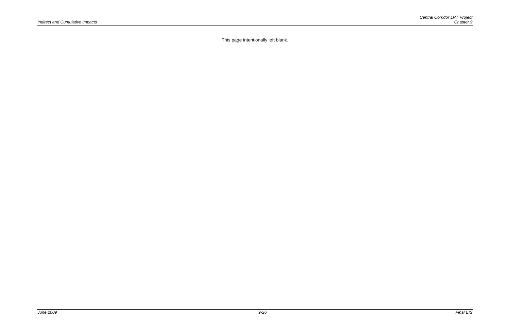This page intentionally left blank.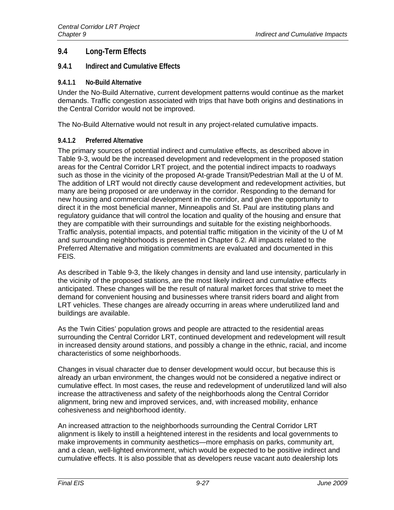# **9.4 Long-Term Effects**

#### **9.4.1 Indirect and Cumulative Effects**

#### **9.4.1.1 No-Build Alternative**

Under the No-Build Alternative, current development patterns would continue as the market demands. Traffic congestion associated with trips that have both origins and destinations in the Central Corridor would not be improved.

The No-Build Alternative would not result in any project-related cumulative impacts.

#### **9.4.1.2 Preferred Alternative**

The primary sources of potential indirect and cumulative effects, as described above in Table 9-3, would be the increased development and redevelopment in the proposed station areas for the Central Corridor LRT project, and the potential indirect impacts to roadways such as those in the vicinity of the proposed At-grade Transit/Pedestrian Mall at the U of M. The addition of LRT would not directly cause development and redevelopment activities, but many are being proposed or are underway in the corridor. Responding to the demand for new housing and commercial development in the corridor, and given the opportunity to direct it in the most beneficial manner, Minneapolis and St. Paul are instituting plans and regulatory guidance that will control the location and quality of the housing and ensure that they are compatible with their surroundings and suitable for the existing neighborhoods. Traffic analysis, potential impacts, and potential traffic mitigation in the vicinity of the U of M and surrounding neighborhoods is presented in Chapter 6.2. All impacts related to the Preferred Alternative and mitigation commitments are evaluated and documented in this FEIS.

As described in Table 9-3, the likely changes in density and land use intensity, particularly in the vicinity of the proposed stations, are the most likely indirect and cumulative effects anticipated. These changes will be the result of natural market forces that strive to meet the demand for convenient housing and businesses where transit riders board and alight from LRT vehicles. These changes are already occurring in areas where underutilized land and buildings are available.

As the Twin Cities' population grows and people are attracted to the residential areas surrounding the Central Corridor LRT, continued development and redevelopment will result in increased density around stations, and possibly a change in the ethnic, racial, and income characteristics of some neighborhoods.

Changes in visual character due to denser development would occur, but because this is already an urban environment, the changes would not be considered a negative indirect or cumulative effect. In most cases, the reuse and redevelopment of underutilized land will also increase the attractiveness and safety of the neighborhoods along the Central Corridor alignment, bring new and improved services, and, with increased mobility, enhance cohesiveness and neighborhood identity.

An increased attraction to the neighborhoods surrounding the Central Corridor LRT alignment is likely to instill a heightened interest in the residents and local governments to make improvements in community aesthetics—more emphasis on parks, community art, and a clean, well-lighted environment, which would be expected to be positive indirect and cumulative effects. It is also possible that as developers reuse vacant auto dealership lots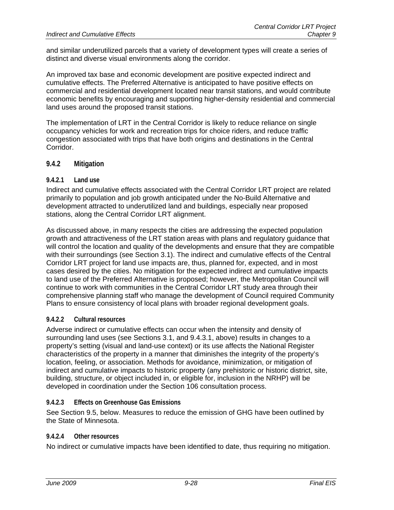and similar underutilized parcels that a variety of development types will create a series of distinct and diverse visual environments along the corridor.

An improved tax base and economic development are positive expected indirect and cumulative effects. The Preferred Alternative is anticipated to have positive effects on commercial and residential development located near transit stations, and would contribute economic benefits by encouraging and supporting higher-density residential and commercial land uses around the proposed transit stations.

The implementation of LRT in the Central Corridor is likely to reduce reliance on single occupancy vehicles for work and recreation trips for choice riders, and reduce traffic congestion associated with trips that have both origins and destinations in the Central Corridor.

## **9.4.2 Mitigation**

#### **9.4.2.1 Land use**

Indirect and cumulative effects associated with the Central Corridor LRT project are related primarily to population and job growth anticipated under the No-Build Alternative and development attracted to underutilized land and buildings, especially near proposed stations, along the Central Corridor LRT alignment.

As discussed above, in many respects the cities are addressing the expected population growth and attractiveness of the LRT station areas with plans and regulatory guidance that will control the location and quality of the developments and ensure that they are compatible with their surroundings (see Section 3.1). The indirect and cumulative effects of the Central Corridor LRT project for land use impacts are, thus, planned for, expected, and in most cases desired by the cities. No mitigation for the expected indirect and cumulative impacts to land use of the Preferred Alternative is proposed; however, the Metropolitan Council will continue to work with communities in the Central Corridor LRT study area through their comprehensive planning staff who manage the development of Council required Community Plans to ensure consistency of local plans with broader regional development goals.

#### **9.4.2.2 Cultural resources**

Adverse indirect or cumulative effects can occur when the intensity and density of surrounding land uses (see Sections 3.1, and 9.4.3.1, above) results in changes to a property's setting (visual and land-use context) or its use affects the National Register characteristics of the property in a manner that diminishes the integrity of the property's location, feeling, or association. Methods for avoidance, minimization, or mitigation of indirect and cumulative impacts to historic property (any prehistoric or historic district, site, building, structure, or object included in, or eligible for, inclusion in the NRHP) will be developed in coordination under the Section 106 consultation process.

#### **9.4.2.3 Effects on Greenhouse Gas Emissions**

See Section 9.5, below. Measures to reduce the emission of GHG have been outlined by the State of Minnesota.

#### **9.4.2.4 Other resources**

No indirect or cumulative impacts have been identified to date, thus requiring no mitigation.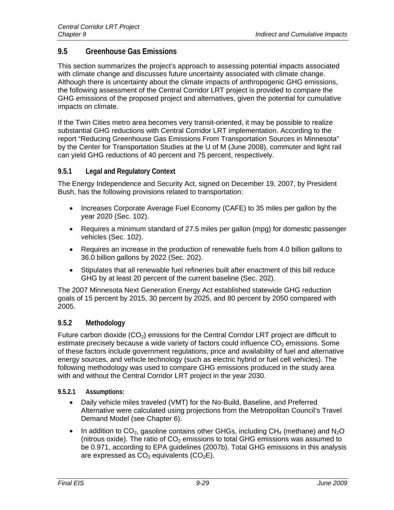# **9.5 Greenhouse Gas Emissions**

This section summarizes the project's approach to assessing potential impacts associated with climate change and discusses future uncertainty associated with climate change. Although there is uncertainty about the climate impacts of anthropogenic GHG emissions, the following assessment of the Central Corridor LRT project is provided to compare the GHG emissions of the proposed project and alternatives, given the potential for cumulative impacts on climate.

If the Twin Cities metro area becomes very transit-oriented, it may be possible to realize substantial GHG reductions with Central Corridor LRT implementation. According to the report "Reducing Greenhouse Gas Emissions From Transportation Sources in Minnesota" by the Center for Transportation Studies at the U of M (June 2008), commuter and light rail can yield GHG reductions of 40 percent and 75 percent, respectively.

#### **9.5.1 Legal and Regulatory Context**

The Energy Independence and Security Act, signed on December 19, 2007, by President Bush, has the following provisions related to transportation:

- Increases Corporate Average Fuel Economy (CAFE) to 35 miles per gallon by the year 2020 (Sec. 102).
- Requires a minimum standard of 27.5 miles per gallon (mpg) for domestic passenger vehicles (Sec. 102).
- Requires an increase in the production of renewable fuels from 4.0 billion gallons to 36.0 billion gallons by 2022 (Sec. 202).
- Stipulates that all renewable fuel refineries built after enactment of this bill reduce GHG by at least 20 percent of the current baseline (Sec. 202).

The 2007 Minnesota Next Generation Energy Act established statewide GHG reduction goals of 15 percent by 2015, 30 percent by 2025, and 80 percent by 2050 compared with 2005.

#### **9.5.2 Methodology**

Future carbon dioxide  $(CO<sub>2</sub>)$  emissions for the Central Corridor LRT project are difficult to estimate precisely because a wide variety of factors could influence  $CO<sub>2</sub>$  emissions. Some of these factors include government regulations, price and availability of fuel and alternative energy sources, and vehicle technology (such as electric hybrid or fuel cell vehicles). The following methodology was used to compare GHG emissions produced in the study area with and without the Central Corridor LRT project in the year 2030.

#### **9.5.2.1 Assumptions:**

- Daily vehicle miles traveled (VMT) for the No-Build, Baseline, and Preferred Alternative were calculated using projections from the Metropolitan Council's Travel Demand Model (see Chapter 6).
- In addition to  $CO<sub>2</sub>$ , gasoline contains other GHGs, including  $CH<sub>4</sub>$  (methane) and N<sub>2</sub>O (nitrous oxide). The ratio of  $CO<sub>2</sub>$  emissions to total GHG emissions was assumed to be 0.971, according to EPA guidelines (2007b). Total GHG emissions in this analysis are expressed as  $CO<sub>2</sub>$  equivalents ( $CO<sub>2</sub>E$ ).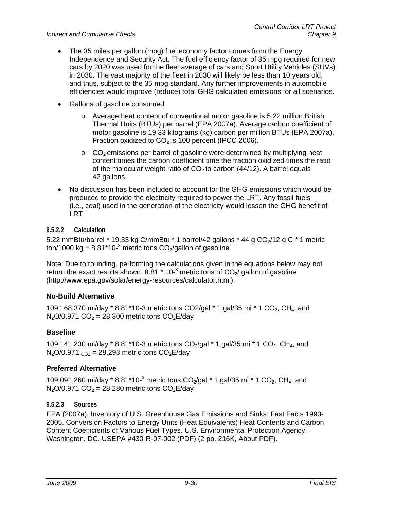- The 35 miles per gallon (mpg) fuel economy factor comes from the Energy Independence and Security Act. The fuel efficiency factor of 35 mpg required for new cars by 2020 was used for the fleet average of cars and Sport Utility Vehicles (SUVs) in 2030. The vast majority of the fleet in 2030 will likely be less than 10 years old, and thus, subject to the 35 mpg standard. Any further improvements in automobile efficiencies would improve (reduce) total GHG calculated emissions for all scenarios.
- Gallons of gasoline consumed
	- o Average heat content of conventional motor gasoline is 5.22 million British Thermal Units (BTUs) per barrel (EPA 2007a). Average carbon coefficient of motor gasoline is 19.33 kilograms (kg) carbon per million BTUs (EPA 2007a). Fraction oxidized to  $CO<sub>2</sub>$  is 100 percent (IPCC 2006).
	- $\circ$  CO<sub>2</sub> emissions per barrel of gasoline were determined by multiplying heat content times the carbon coefficient time the fraction oxidized times the ratio of the molecular weight ratio of  $CO<sub>2</sub>$  to carbon (44/12). A barrel equals 42 gallons.
- No discussion has been included to account for the GHG emissions which would be produced to provide the electricity required to power the LRT. Any fossil fuels (i.e., coal) used in the generation of the electricity would lessen the GHG benefit of LRT.

## **9.5.2.2 Calculation**

5.22 mmBtu/barrel \* 19.33 kg C/mmBtu \* 1 barrel/42 gallons \* 44 g  $CO<sub>2</sub>/12$  g C \* 1 metric ton/1000 kg =  $8.81*10^{-3}$  metric tons CO<sub>2</sub>/gallon of gasoline

Note: Due to rounding, performing the calculations given in the equations below may not return the exact results shown. 8.81  $*$  10-<sup>3</sup> metric tons of CO<sub>2</sub>/ gallon of gasoline (http://www.epa.gov/solar/energy-resources/calculator.html).

## **No-Build Alternative**

109,168,370 mi/day \* 8.81\*10-3 metric tons CO2/gal \* 1 gal/35 mi \* 1 CO<sub>2</sub>, CH<sub>4</sub>, and  $N_2$ O/0.971 CO<sub>2</sub> = 28,300 metric tons CO<sub>2</sub>E/day

## **Baseline**

109,141,230 mi/day \* 8.81\*10-3 metric tons  $CO_2$ /gal \* 1 gal/35 mi \* 1  $CO_2$ , CH<sub>4</sub>, and  $N_2$ O/0.971  $_{CO2}$  = 28,293 metric tons CO<sub>2</sub>E/day

#### **Preferred Alternative**

109,091,260 mi/day \* 8.81\*10-<sup>3</sup> metric tons CO<sub>2</sub>/gal \* 1 gal/35 mi \* 1 CO<sub>2</sub>, CH<sub>4</sub>, and  $N_2$ O/0.971 CO<sub>2</sub> = 28,280 metric tons CO<sub>2</sub>E/day

#### **9.5.2.3 Sources**

EPA (2007a). Inventory of U.S. Greenhouse Gas Emissions and Sinks: Fast Facts 1990- 2005. Conversion Factors to Energy Units (Heat Equivalents) Heat Contents and Carbon Content Coefficients of Various Fuel Types. U.S. Environmental Protection Agency, Washington, DC. USEPA #430-R-07-002 (PDF) (2 pp, 216K, About PDF).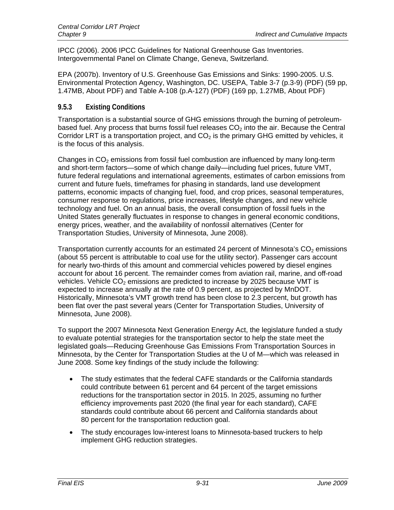IPCC (2006). 2006 IPCC Guidelines for National Greenhouse Gas Inventories. Intergovernmental Panel on Climate Change, Geneva, Switzerland.

EPA (2007b). Inventory of U.S. Greenhouse Gas Emissions and Sinks: 1990-2005. U.S. Environmental Protection Agency, Washington, DC. USEPA, Table 3-7 (p.3-9) (PDF) (59 pp, 1.47MB, About PDF) and Table A-108 (p.A-127) (PDF) (169 pp, 1.27MB, About PDF)

#### **9.5.3 Existing Conditions**

Transportation is a substantial source of GHG emissions through the burning of petroleumbased fuel. Any process that burns fossil fuel releases  $CO<sub>2</sub>$  into the air. Because the Central Corridor LRT is a transportation project, and  $CO<sub>2</sub>$  is the primary GHG emitted by vehicles, it is the focus of this analysis.

Changes in  $CO<sub>2</sub>$  emissions from fossil fuel combustion are influenced by many long-term and short-term factors—some of which change daily—including fuel prices, future VMT, future federal regulations and international agreements, estimates of carbon emissions from current and future fuels, timeframes for phasing in standards, land use development patterns, economic impacts of changing fuel, food, and crop prices, seasonal temperatures, consumer response to regulations, price increases, lifestyle changes, and new vehicle technology and fuel. On an annual basis, the overall consumption of fossil fuels in the United States generally fluctuates in response to changes in general economic conditions, energy prices, weather, and the availability of nonfossil alternatives (Center for Transportation Studies, University of Minnesota, June 2008).

Transportation currently accounts for an estimated 24 percent of Minnesota's  $CO<sub>2</sub>$  emissions (about 55 percent is attributable to coal use for the utility sector). Passenger cars account for nearly two-thirds of this amount and commercial vehicles powered by diesel engines account for about 16 percent. The remainder comes from aviation rail, marine, and off-road vehicles. Vehicle  $CO<sub>2</sub>$  emissions are predicted to increase by 2025 because VMT is expected to increase annually at the rate of 0.9 percent, as projected by MnDOT. Historically, Minnesota's VMT growth trend has been close to 2.3 percent, but growth has been flat over the past several years (Center for Transportation Studies, University of Minnesota, June 2008).

To support the 2007 Minnesota Next Generation Energy Act, the legislature funded a study to evaluate potential strategies for the transportation sector to help the state meet the legislated goals—Reducing Greenhouse Gas Emissions From Transportation Sources in Minnesota, by the Center for Transportation Studies at the U of M—which was released in June 2008. Some key findings of the study include the following:

- The study estimates that the federal CAFE standards or the California standards could contribute between 61 percent and 64 percent of the target emissions reductions for the transportation sector in 2015. In 2025, assuming no further efficiency improvements past 2020 (the final year for each standard), CAFE standards could contribute about 66 percent and California standards about 80 percent for the transportation reduction goal.
- The study encourages low-interest loans to Minnesota-based truckers to help implement GHG reduction strategies.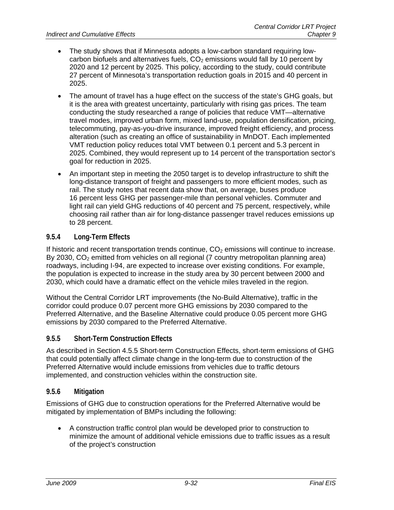- The study shows that if Minnesota adopts a low-carbon standard requiring lowcarbon biofuels and alternatives fuels,  $CO<sub>2</sub>$  emissions would fall by 10 percent by 2020 and 12 percent by 2025. This policy, according to the study, could contribute 27 percent of Minnesota's transportation reduction goals in 2015 and 40 percent in 2025.
- The amount of travel has a huge effect on the success of the state's GHG goals, but it is the area with greatest uncertainty, particularly with rising gas prices. The team conducting the study researched a range of policies that reduce VMT—alternative travel modes, improved urban form, mixed land-use, population densification, pricing, telecommuting, pay-as-you-drive insurance, improved freight efficiency, and process alteration (such as creating an office of sustainability in MnDOT. Each implemented VMT reduction policy reduces total VMT between 0.1 percent and 5.3 percent in 2025. Combined, they would represent up to 14 percent of the transportation sector's goal for reduction in 2025.
- An important step in meeting the 2050 target is to develop infrastructure to shift the long-distance transport of freight and passengers to more efficient modes, such as rail. The study notes that recent data show that, on average, buses produce 16 percent less GHG per passenger-mile than personal vehicles. Commuter and light rail can yield GHG reductions of 40 percent and 75 percent, respectively, while choosing rail rather than air for long-distance passenger travel reduces emissions up to 28 percent.

# **9.5.4 Long-Term Effects**

If historic and recent transportation trends continue,  $CO<sub>2</sub>$  emissions will continue to increase. By 2030,  $CO<sub>2</sub>$  emitted from vehicles on all regional (7 country metropolitan planning area) roadways, including I-94, are expected to increase over existing conditions. For example, the population is expected to increase in the study area by 30 percent between 2000 and 2030, which could have a dramatic effect on the vehicle miles traveled in the region.

Without the Central Corridor LRT improvements (the No-Build Alternative), traffic in the corridor could produce 0.07 percent more GHG emissions by 2030 compared to the Preferred Alternative, and the Baseline Alternative could produce 0.05 percent more GHG emissions by 2030 compared to the Preferred Alternative.

## **9.5.5 Short-Term Construction Effects**

As described in Section 4.5.5 Short-term Construction Effects, short-term emissions of GHG that could potentially affect climate change in the long-term due to construction of the Preferred Alternative would include emissions from vehicles due to traffic detours implemented, and construction vehicles within the construction site.

## **9.5.6 Mitigation**

Emissions of GHG due to construction operations for the Preferred Alternative would be mitigated by implementation of BMPs including the following:

 A construction traffic control plan would be developed prior to construction to minimize the amount of additional vehicle emissions due to traffic issues as a result of the project's construction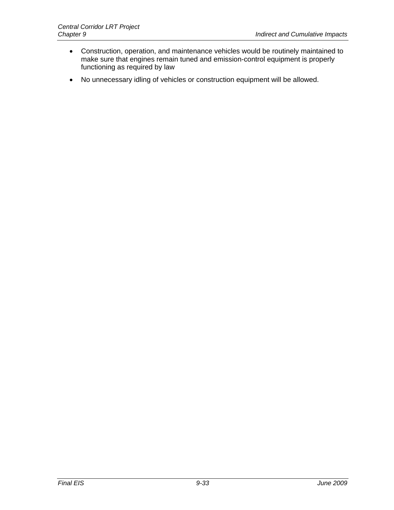- Construction, operation, and maintenance vehicles would be routinely maintained to make sure that engines remain tuned and emission-control equipment is properly functioning as required by law
- No unnecessary idling of vehicles or construction equipment will be allowed.